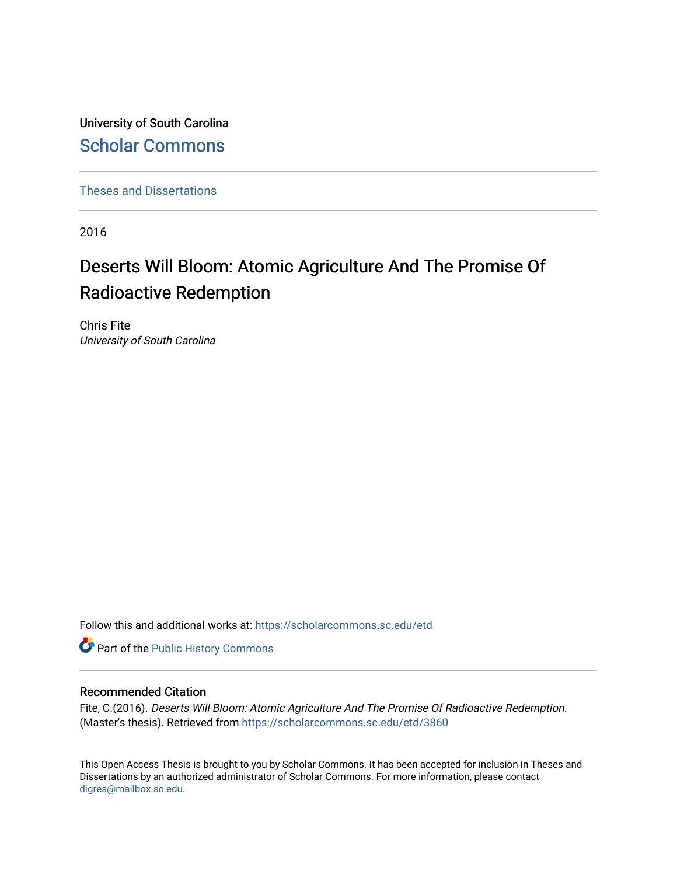University of South Carolina [Scholar Commons](https://scholarcommons.sc.edu/) 

[Theses and Dissertations](https://scholarcommons.sc.edu/etd)

2016

# Deserts Will Bloom: Atomic Agriculture And The Promise Of Radioactive Redemption

Chris Fite University of South Carolina

Follow this and additional works at: [https://scholarcommons.sc.edu/etd](https://scholarcommons.sc.edu/etd?utm_source=scholarcommons.sc.edu%2Fetd%2F3860&utm_medium=PDF&utm_campaign=PDFCoverPages)

Part of the [Public History Commons](http://network.bepress.com/hgg/discipline/1292?utm_source=scholarcommons.sc.edu%2Fetd%2F3860&utm_medium=PDF&utm_campaign=PDFCoverPages) 

#### Recommended Citation

Fite, C.(2016). Deserts Will Bloom: Atomic Agriculture And The Promise Of Radioactive Redemption. (Master's thesis). Retrieved from [https://scholarcommons.sc.edu/etd/3860](https://scholarcommons.sc.edu/etd/3860?utm_source=scholarcommons.sc.edu%2Fetd%2F3860&utm_medium=PDF&utm_campaign=PDFCoverPages) 

This Open Access Thesis is brought to you by Scholar Commons. It has been accepted for inclusion in Theses and Dissertations by an authorized administrator of Scholar Commons. For more information, please contact [digres@mailbox.sc.edu](mailto:digres@mailbox.sc.edu).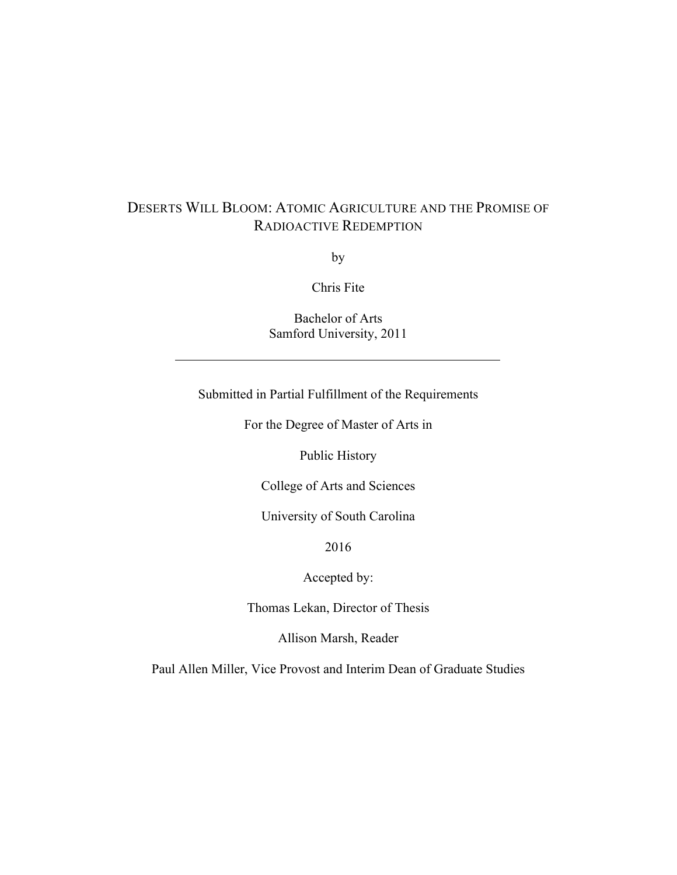# DESERTS WILL BLOOM: ATOMIC AGRICULTURE AND THE PROMISE OF RADIOACTIVE REDEMPTION

by

Chris Fite

Bachelor of Arts Samford University, 2011

Submitted in Partial Fulfillment of the Requirements

For the Degree of Master of Arts in

Public History

College of Arts and Sciences

University of South Carolina

2016

Accepted by:

Thomas Lekan, Director of Thesis

Allison Marsh, Reader

Paul Allen Miller, Vice Provost and Interim Dean of Graduate Studies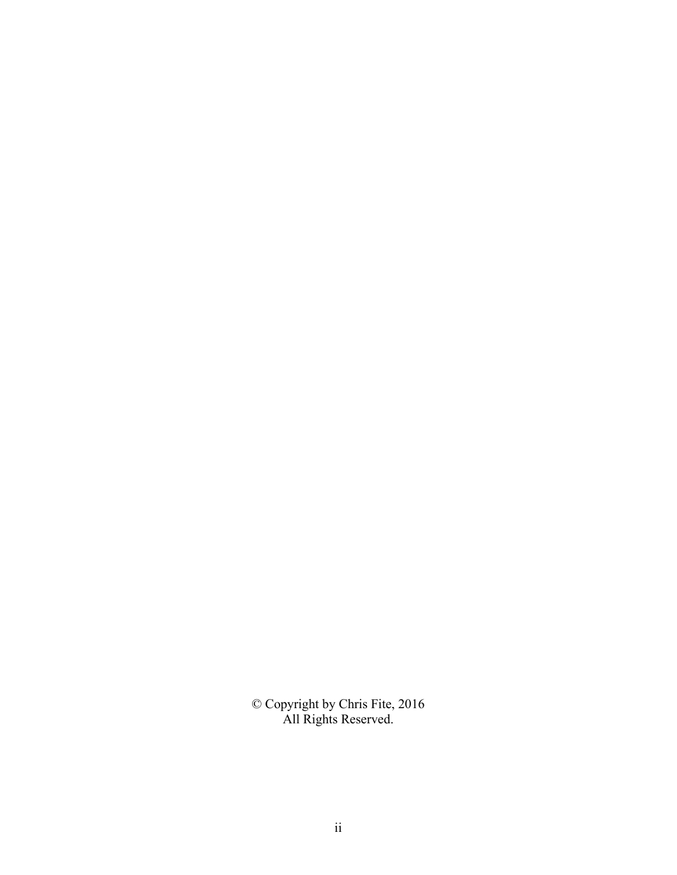© Copyright by Chris Fite, 2016 All Rights Reserved.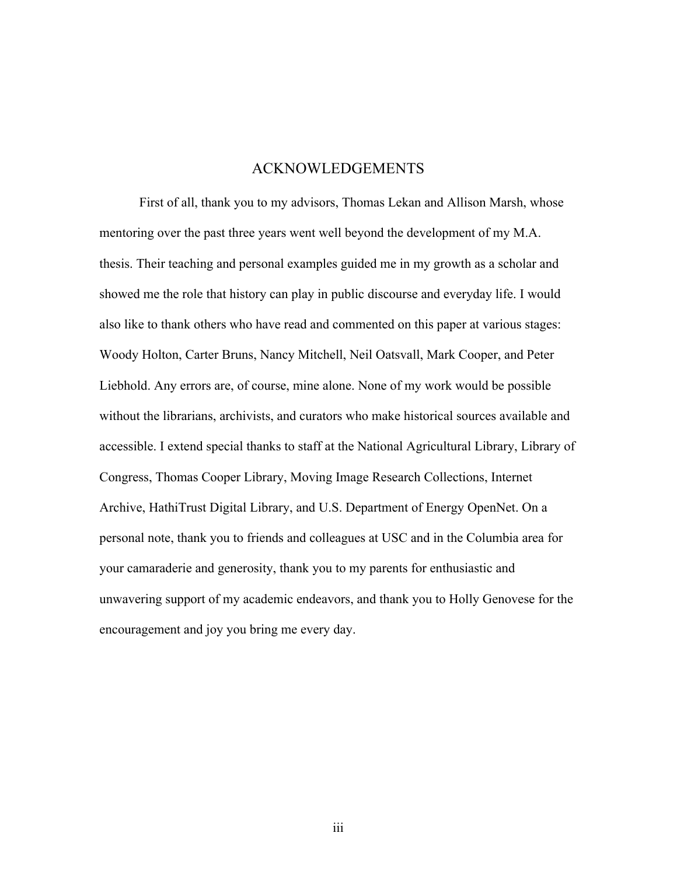### ACKNOWLEDGEMENTS

First of all, thank you to my advisors, Thomas Lekan and Allison Marsh, whose mentoring over the past three years went well beyond the development of my M.A. thesis. Their teaching and personal examples guided me in my growth as a scholar and showed me the role that history can play in public discourse and everyday life. I would also like to thank others who have read and commented on this paper at various stages: Woody Holton, Carter Bruns, Nancy Mitchell, Neil Oatsvall, Mark Cooper, and Peter Liebhold. Any errors are, of course, mine alone. None of my work would be possible without the librarians, archivists, and curators who make historical sources available and accessible. I extend special thanks to staff at the National Agricultural Library, Library of Congress, Thomas Cooper Library, Moving Image Research Collections, Internet Archive, HathiTrust Digital Library, and U.S. Department of Energy OpenNet. On a personal note, thank you to friends and colleagues at USC and in the Columbia area for your camaraderie and generosity, thank you to my parents for enthusiastic and unwavering support of my academic endeavors, and thank you to Holly Genovese for the encouragement and joy you bring me every day.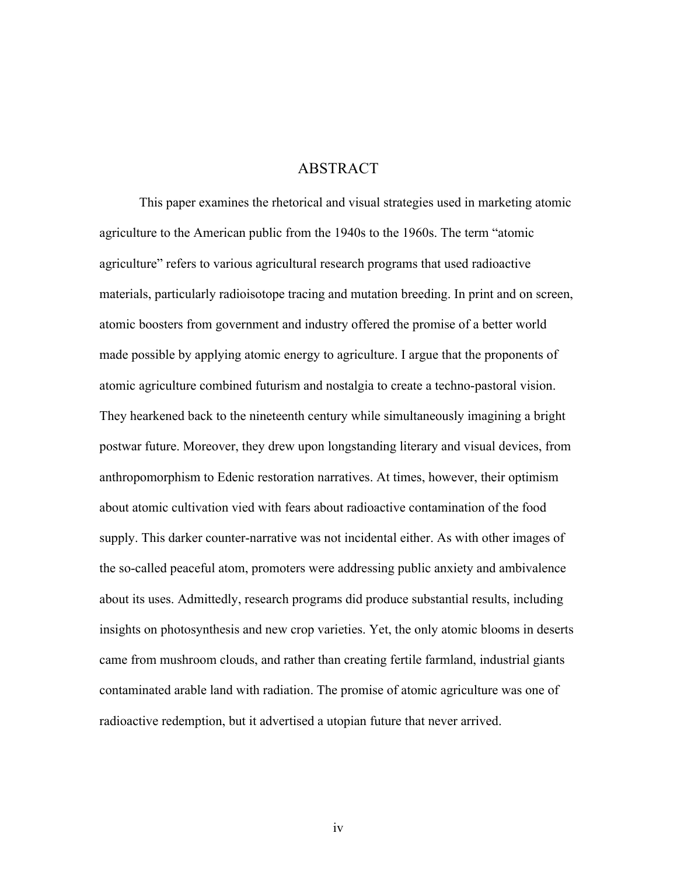## ABSTRACT

This paper examines the rhetorical and visual strategies used in marketing atomic agriculture to the American public from the 1940s to the 1960s. The term "atomic agriculture" refers to various agricultural research programs that used radioactive materials, particularly radioisotope tracing and mutation breeding. In print and on screen, atomic boosters from government and industry offered the promise of a better world made possible by applying atomic energy to agriculture. I argue that the proponents of atomic agriculture combined futurism and nostalgia to create a techno-pastoral vision. They hearkened back to the nineteenth century while simultaneously imagining a bright postwar future. Moreover, they drew upon longstanding literary and visual devices, from anthropomorphism to Edenic restoration narratives. At times, however, their optimism about atomic cultivation vied with fears about radioactive contamination of the food supply. This darker counter-narrative was not incidental either. As with other images of the so-called peaceful atom, promoters were addressing public anxiety and ambivalence about its uses. Admittedly, research programs did produce substantial results, including insights on photosynthesis and new crop varieties. Yet, the only atomic blooms in deserts came from mushroom clouds, and rather than creating fertile farmland, industrial giants contaminated arable land with radiation. The promise of atomic agriculture was one of radioactive redemption, but it advertised a utopian future that never arrived.

iv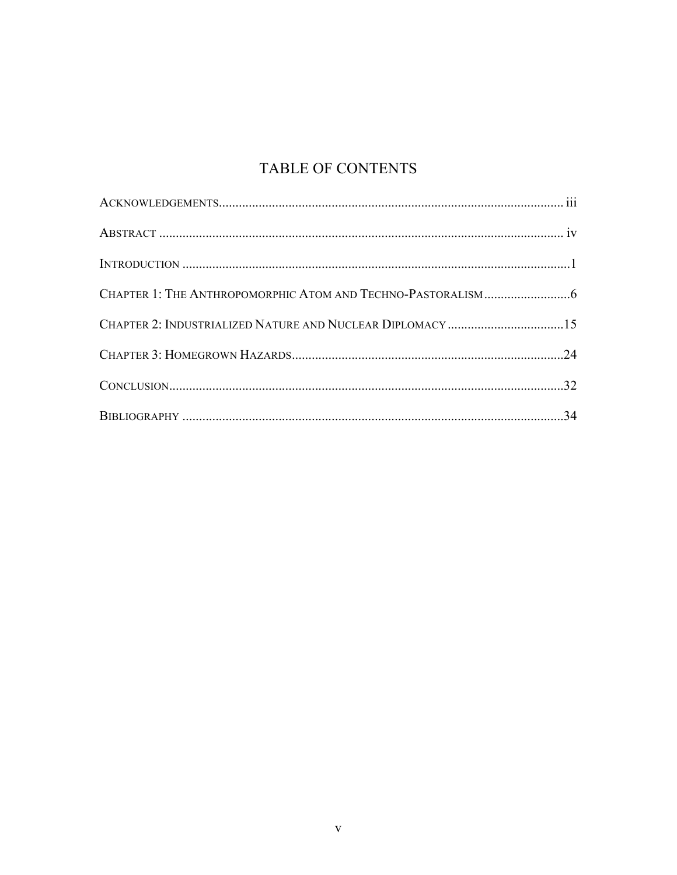# TABLE OF CONTENTS

| CHAPTER 2: INDUSTRIALIZED NATURE AND NUCLEAR DIPLOMACY 15 |  |
|-----------------------------------------------------------|--|
|                                                           |  |
|                                                           |  |
|                                                           |  |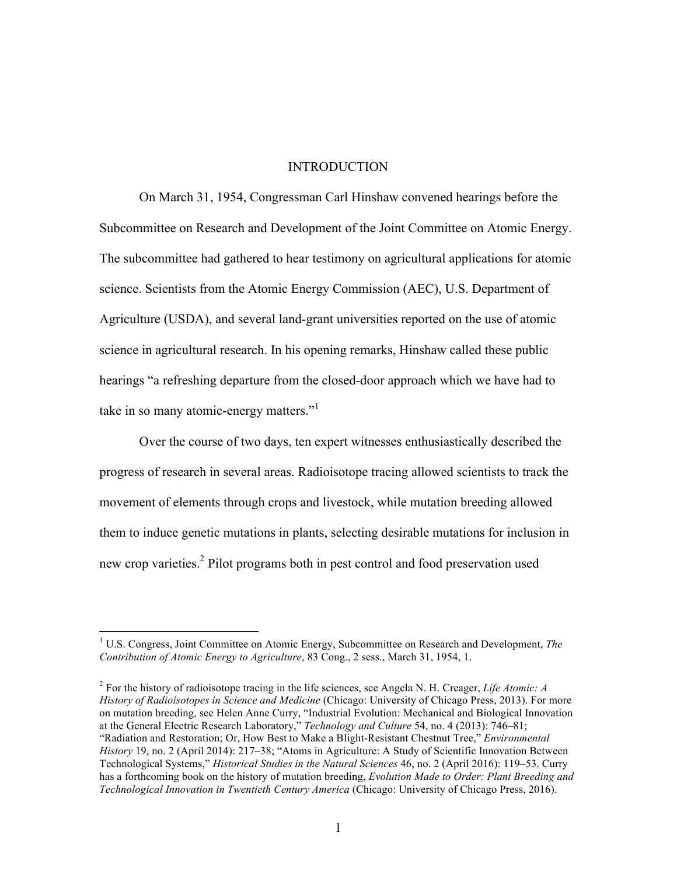#### INTRODUCTION

On March 31, 1954, Congressman Carl Hinshaw convened hearings before the Subcommittee on Research and Development of the Joint Committee on Atomic Energy. The subcommittee had gathered to hear testimony on agricultural applications for atomic science. Scientists from the Atomic Energy Commission (AEC), U.S. Department of Agriculture (USDA), and several land-grant universities reported on the use of atomic science in agricultural research. In his opening remarks, Hinshaw called these public hearings "a refreshing departure from the closed-door approach which we have had to take in so many atomic-energy matters."<sup>1</sup>

Over the course of two days, ten expert witnesses enthusiastically described the progress of research in several areas. Radioisotope tracing allowed scientists to track the movement of elements through crops and livestock, while mutation breeding allowed them to induce genetic mutations in plants, selecting desirable mutations for inclusion in new crop varieties.<sup>2</sup> Pilot programs both in pest control and food preservation used

 <sup>1</sup> U.S. Congress, Joint Committee on Atomic Energy, Subcommittee on Research and Development, *The Contribution of Atomic Energy to Agriculture*, 83 Cong., 2 sess., March 31, 1954, 1.

<sup>2</sup> For the history of radioisotope tracing in the life sciences, see Angela N. H. Creager, *Life Atomic: A History of Radioisotopes in Science and Medicine* (Chicago: University of Chicago Press, 2013). For more on mutation breeding, see Helen Anne Curry, "Industrial Evolution: Mechanical and Biological Innovation at the General Electric Research Laboratory," *Technology and Culture* 54, no. 4 (2013): 746–81; "Radiation and Restoration; Or, How Best to Make a Blight-Resistant Chestnut Tree," *Environmental History* 19, no. 2 (April 2014): 217–38; "Atoms in Agriculture: A Study of Scientific Innovation Between Technological Systems," *Historical Studies in the Natural Sciences* 46, no. 2 (April 2016): 119–53. Curry has a forthcoming book on the history of mutation breeding, *Evolution Made to Order: Plant Breeding and Technological Innovation in Twentieth Century America* (Chicago: University of Chicago Press, 2016).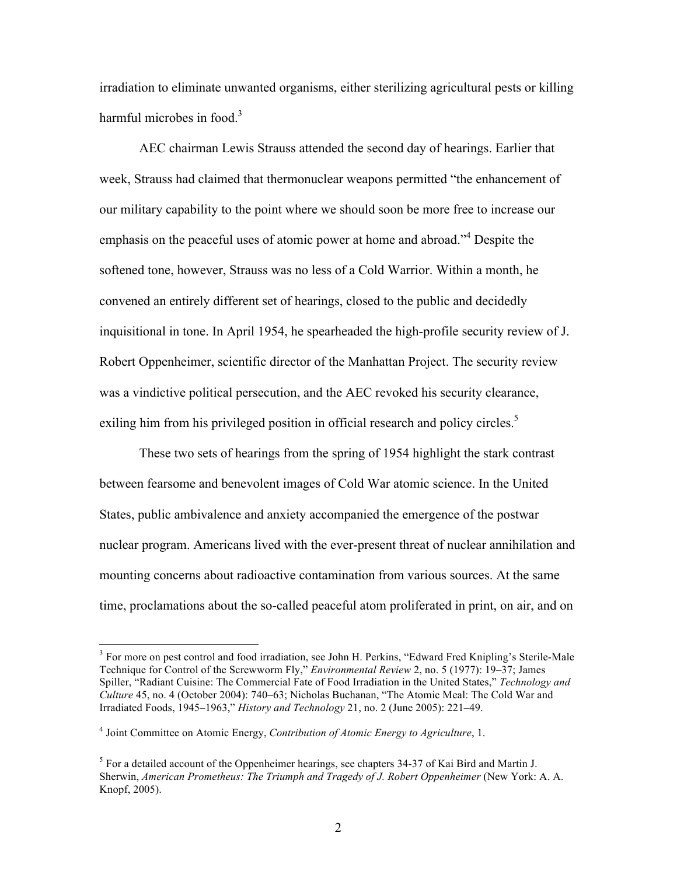irradiation to eliminate unwanted organisms, either sterilizing agricultural pests or killing harmful microbes in food. $3$ 

AEC chairman Lewis Strauss attended the second day of hearings. Earlier that week, Strauss had claimed that thermonuclear weapons permitted "the enhancement of our military capability to the point where we should soon be more free to increase our emphasis on the peaceful uses of atomic power at home and abroad."<sup>4</sup> Despite the softened tone, however, Strauss was no less of a Cold Warrior. Within a month, he convened an entirely different set of hearings, closed to the public and decidedly inquisitional in tone. In April 1954, he spearheaded the high-profile security review of J. Robert Oppenheimer, scientific director of the Manhattan Project. The security review was a vindictive political persecution, and the AEC revoked his security clearance, exiling him from his privileged position in official research and policy circles.<sup>5</sup>

These two sets of hearings from the spring of 1954 highlight the stark contrast between fearsome and benevolent images of Cold War atomic science. In the United States, public ambivalence and anxiety accompanied the emergence of the postwar nuclear program. Americans lived with the ever-present threat of nuclear annihilation and mounting concerns about radioactive contamination from various sources. At the same time, proclamations about the so-called peaceful atom proliferated in print, on air, and on

<sup>&</sup>lt;sup>3</sup> For more on pest control and food irradiation, see John H. Perkins, "Edward Fred Knipling's Sterile-Male Technique for Control of the Screwworm Fly," *Environmental Review* 2, no. 5 (1977): 19–37; James Spiller, "Radiant Cuisine: The Commercial Fate of Food Irradiation in the United States," *Technology and Culture* 45, no. 4 (October 2004): 740–63; Nicholas Buchanan, "The Atomic Meal: The Cold War and Irradiated Foods, 1945–1963," *History and Technology* 21, no. 2 (June 2005): 221–49.

<sup>4</sup> Joint Committee on Atomic Energy, *Contribution of Atomic Energy to Agriculture*, 1.

 $<sup>5</sup>$  For a detailed account of the Oppenheimer hearings, see chapters 34-37 of Kai Bird and Martin J.</sup> Sherwin, *American Prometheus: The Triumph and Tragedy of J. Robert Oppenheimer* (New York: A. A. Knopf, 2005).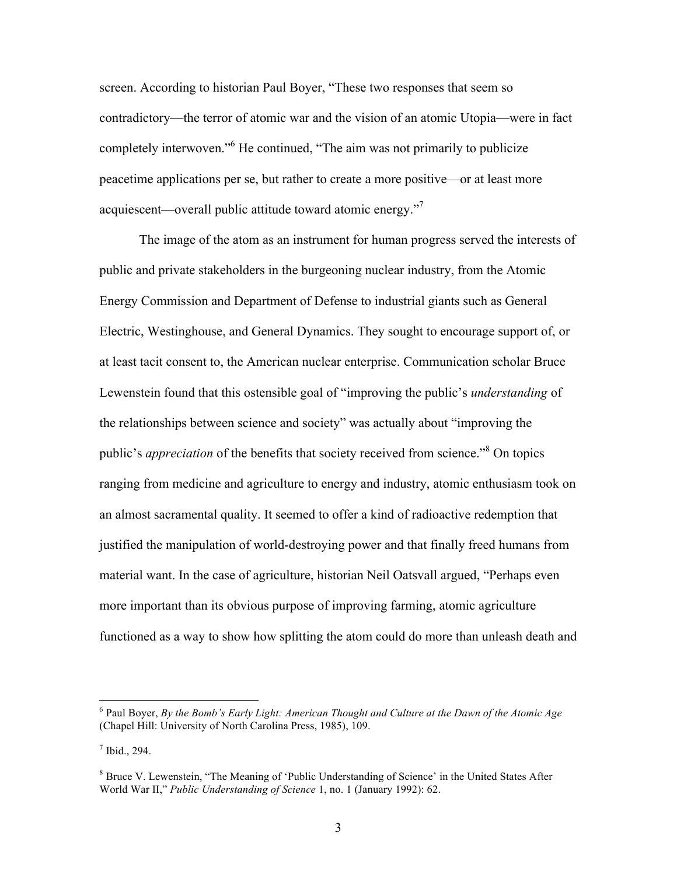screen. According to historian Paul Boyer, "These two responses that seem so contradictory—the terror of atomic war and the vision of an atomic Utopia—were in fact completely interwoven."<sup>6</sup> He continued, "The aim was not primarily to publicize peacetime applications per se, but rather to create a more positive—or at least more acquiescent—overall public attitude toward atomic energy."7

The image of the atom as an instrument for human progress served the interests of public and private stakeholders in the burgeoning nuclear industry, from the Atomic Energy Commission and Department of Defense to industrial giants such as General Electric, Westinghouse, and General Dynamics. They sought to encourage support of, or at least tacit consent to, the American nuclear enterprise. Communication scholar Bruce Lewenstein found that this ostensible goal of "improving the public's *understanding* of the relationships between science and society" was actually about "improving the public's *appreciation* of the benefits that society received from science."<sup>8</sup> On topics ranging from medicine and agriculture to energy and industry, atomic enthusiasm took on an almost sacramental quality. It seemed to offer a kind of radioactive redemption that justified the manipulation of world-destroying power and that finally freed humans from material want. In the case of agriculture, historian Neil Oatsvall argued, "Perhaps even more important than its obvious purpose of improving farming, atomic agriculture functioned as a way to show how splitting the atom could do more than unleash death and

 <sup>6</sup> Paul Boyer, *By the Bomb's Early Light: American Thought and Culture at the Dawn of the Atomic Age* (Chapel Hill: University of North Carolina Press, 1985), 109.

 $<sup>7</sup>$  Ibid., 294.</sup>

<sup>&</sup>lt;sup>8</sup> Bruce V. Lewenstein, "The Meaning of 'Public Understanding of Science' in the United States After World War II," *Public Understanding of Science* 1, no. 1 (January 1992): 62.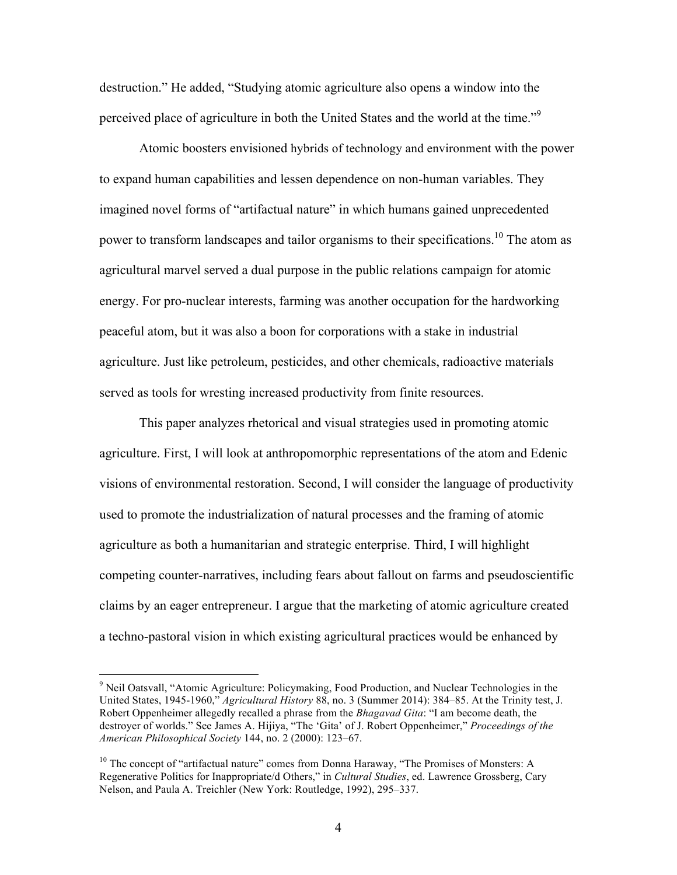destruction." He added, "Studying atomic agriculture also opens a window into the perceived place of agriculture in both the United States and the world at the time."<sup>9</sup>

Atomic boosters envisioned hybrids of technology and environment with the power to expand human capabilities and lessen dependence on non-human variables. They imagined novel forms of "artifactual nature" in which humans gained unprecedented power to transform landscapes and tailor organisms to their specifications.10 The atom as agricultural marvel served a dual purpose in the public relations campaign for atomic energy. For pro-nuclear interests, farming was another occupation for the hardworking peaceful atom, but it was also a boon for corporations with a stake in industrial agriculture. Just like petroleum, pesticides, and other chemicals, radioactive materials served as tools for wresting increased productivity from finite resources.

This paper analyzes rhetorical and visual strategies used in promoting atomic agriculture. First, I will look at anthropomorphic representations of the atom and Edenic visions of environmental restoration. Second, I will consider the language of productivity used to promote the industrialization of natural processes and the framing of atomic agriculture as both a humanitarian and strategic enterprise. Third, I will highlight competing counter-narratives, including fears about fallout on farms and pseudoscientific claims by an eager entrepreneur. I argue that the marketing of atomic agriculture created a techno-pastoral vision in which existing agricultural practices would be enhanced by

<sup>&</sup>lt;sup>9</sup> Neil Oatsvall, "Atomic Agriculture: Policymaking, Food Production, and Nuclear Technologies in the United States, 1945-1960," *Agricultural History* 88, no. 3 (Summer 2014): 384–85. At the Trinity test, J. Robert Oppenheimer allegedly recalled a phrase from the *Bhagavad Gita*: "I am become death, the destroyer of worlds." See James A. Hijiya, "The 'Gita' of J. Robert Oppenheimer," *Proceedings of the American Philosophical Society* 144, no. 2 (2000): 123–67.

 $10$  The concept of "artifactual nature" comes from Donna Haraway, "The Promises of Monsters: A Regenerative Politics for Inappropriate/d Others," in *Cultural Studies*, ed. Lawrence Grossberg, Cary Nelson, and Paula A. Treichler (New York: Routledge, 1992), 295–337.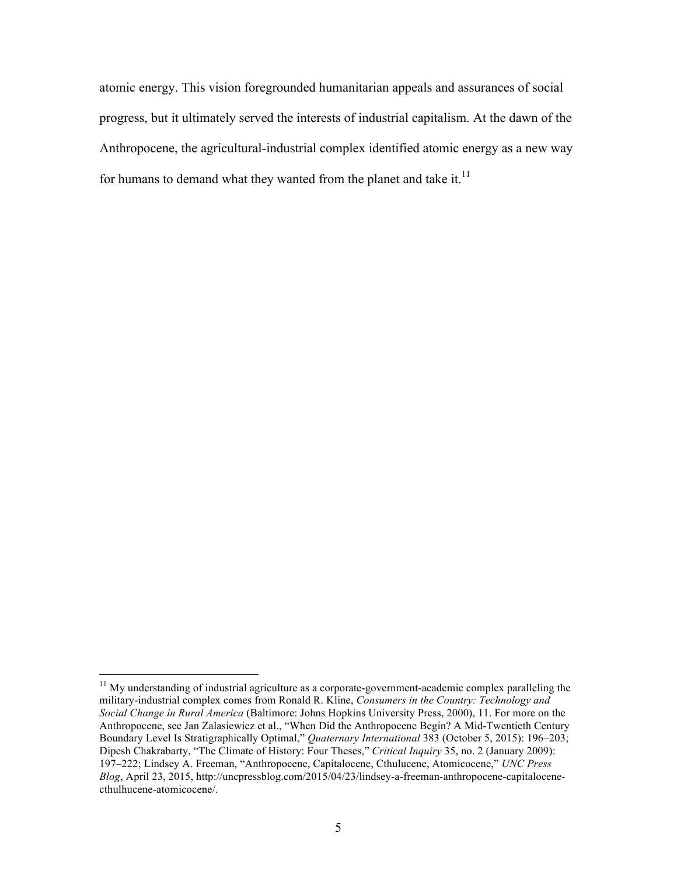atomic energy. This vision foregrounded humanitarian appeals and assurances of social progress, but it ultimately served the interests of industrial capitalism. At the dawn of the Anthropocene, the agricultural-industrial complex identified atomic energy as a new way for humans to demand what they wanted from the planet and take it. $11$ 

 $11$  My understanding of industrial agriculture as a corporate-government-academic complex paralleling the military-industrial complex comes from Ronald R. Kline, *Consumers in the Country: Technology and Social Change in Rural America* (Baltimore: Johns Hopkins University Press, 2000), 11. For more on the Anthropocene, see Jan Zalasiewicz et al., "When Did the Anthropocene Begin? A Mid-Twentieth Century Boundary Level Is Stratigraphically Optimal," *Quaternary International* 383 (October 5, 2015): 196–203; Dipesh Chakrabarty, "The Climate of History: Four Theses," *Critical Inquiry* 35, no. 2 (January 2009): 197–222; Lindsey A. Freeman, "Anthropocene, Capitalocene, Cthulucene, Atomicocene," *UNC Press Blog*, April 23, 2015, http://uncpressblog.com/2015/04/23/lindsey-a-freeman-anthropocene-capitalocenecthulhucene-atomicocene/.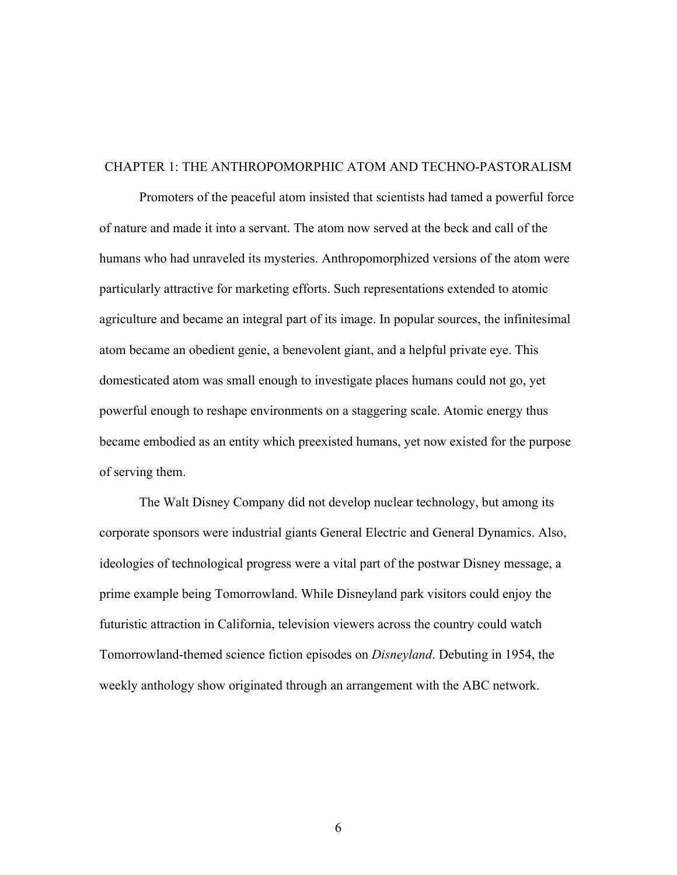#### CHAPTER 1: THE ANTHROPOMORPHIC ATOM AND TECHNO-PASTORALISM

Promoters of the peaceful atom insisted that scientists had tamed a powerful force of nature and made it into a servant. The atom now served at the beck and call of the humans who had unraveled its mysteries. Anthropomorphized versions of the atom were particularly attractive for marketing efforts. Such representations extended to atomic agriculture and became an integral part of its image. In popular sources, the infinitesimal atom became an obedient genie, a benevolent giant, and a helpful private eye. This domesticated atom was small enough to investigate places humans could not go, yet powerful enough to reshape environments on a staggering scale. Atomic energy thus became embodied as an entity which preexisted humans, yet now existed for the purpose of serving them.

The Walt Disney Company did not develop nuclear technology, but among its corporate sponsors were industrial giants General Electric and General Dynamics. Also, ideologies of technological progress were a vital part of the postwar Disney message, a prime example being Tomorrowland. While Disneyland park visitors could enjoy the futuristic attraction in California, television viewers across the country could watch Tomorrowland-themed science fiction episodes on *Disneyland*. Debuting in 1954, the weekly anthology show originated through an arrangement with the ABC network.

6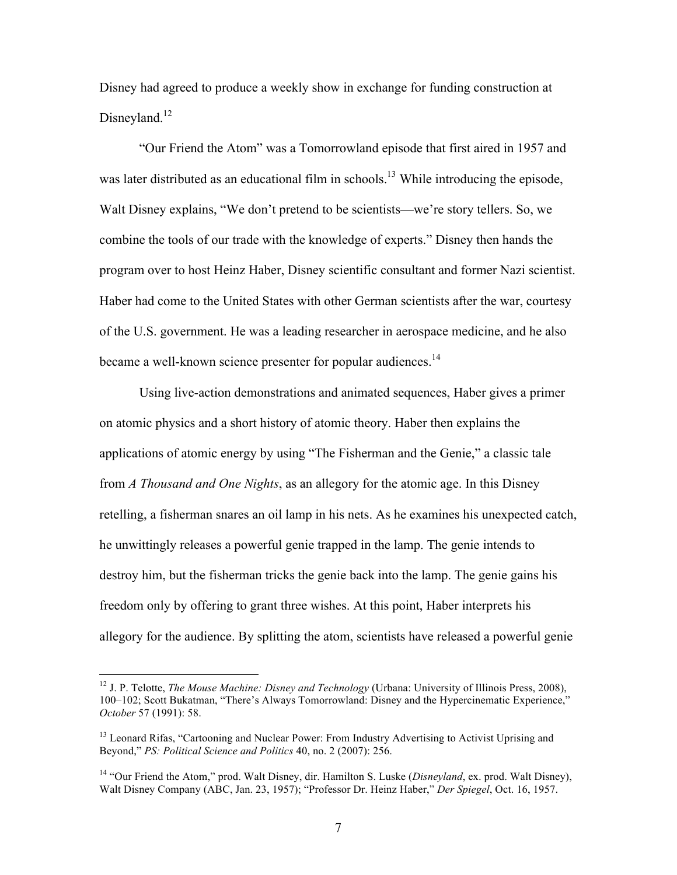Disney had agreed to produce a weekly show in exchange for funding construction at Disneyland.<sup>12</sup>

"Our Friend the Atom" was a Tomorrowland episode that first aired in 1957 and was later distributed as an educational film in schools.<sup>13</sup> While introducing the episode, Walt Disney explains, "We don't pretend to be scientists—we're story tellers. So, we combine the tools of our trade with the knowledge of experts." Disney then hands the program over to host Heinz Haber, Disney scientific consultant and former Nazi scientist. Haber had come to the United States with other German scientists after the war, courtesy of the U.S. government. He was a leading researcher in aerospace medicine, and he also became a well-known science presenter for popular audiences.<sup>14</sup>

Using live-action demonstrations and animated sequences, Haber gives a primer on atomic physics and a short history of atomic theory. Haber then explains the applications of atomic energy by using "The Fisherman and the Genie," a classic tale from *A Thousand and One Nights*, as an allegory for the atomic age. In this Disney retelling, a fisherman snares an oil lamp in his nets. As he examines his unexpected catch, he unwittingly releases a powerful genie trapped in the lamp. The genie intends to destroy him, but the fisherman tricks the genie back into the lamp. The genie gains his freedom only by offering to grant three wishes. At this point, Haber interprets his allegory for the audience. By splitting the atom, scientists have released a powerful genie

 <sup>12</sup> J. P. Telotte, *The Mouse Machine: Disney and Technology* (Urbana: University of Illinois Press, 2008), 100–102; Scott Bukatman, "There's Always Tomorrowland: Disney and the Hypercinematic Experience," *October* 57 (1991): 58.

<sup>&</sup>lt;sup>13</sup> Leonard Rifas, "Cartooning and Nuclear Power: From Industry Advertising to Activist Uprising and Beyond," *PS: Political Science and Politics* 40, no. 2 (2007): 256.

<sup>14</sup> "Our Friend the Atom," prod. Walt Disney, dir. Hamilton S. Luske (*Disneyland*, ex. prod. Walt Disney), Walt Disney Company (ABC, Jan. 23, 1957); "Professor Dr. Heinz Haber," *Der Spiegel*, Oct. 16, 1957.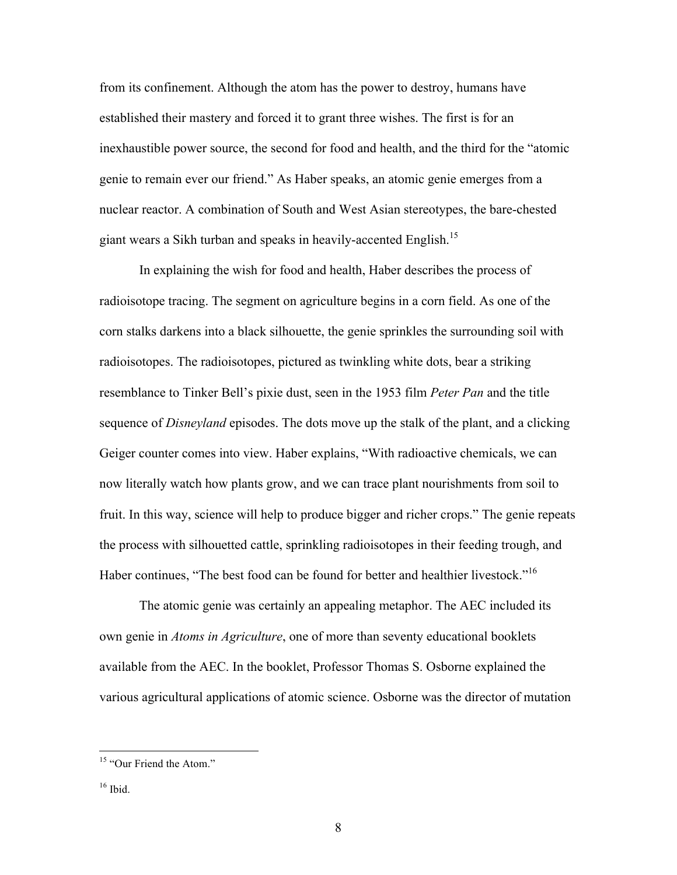from its confinement. Although the atom has the power to destroy, humans have established their mastery and forced it to grant three wishes. The first is for an inexhaustible power source, the second for food and health, and the third for the "atomic genie to remain ever our friend." As Haber speaks, an atomic genie emerges from a nuclear reactor. A combination of South and West Asian stereotypes, the bare-chested giant wears a Sikh turban and speaks in heavily-accented English.<sup>15</sup>

In explaining the wish for food and health, Haber describes the process of radioisotope tracing. The segment on agriculture begins in a corn field. As one of the corn stalks darkens into a black silhouette, the genie sprinkles the surrounding soil with radioisotopes. The radioisotopes, pictured as twinkling white dots, bear a striking resemblance to Tinker Bell's pixie dust, seen in the 1953 film *Peter Pan* and the title sequence of *Disneyland* episodes. The dots move up the stalk of the plant, and a clicking Geiger counter comes into view. Haber explains, "With radioactive chemicals, we can now literally watch how plants grow, and we can trace plant nourishments from soil to fruit. In this way, science will help to produce bigger and richer crops." The genie repeats the process with silhouetted cattle, sprinkling radioisotopes in their feeding trough, and Haber continues, "The best food can be found for better and healthier livestock."<sup>16</sup>

The atomic genie was certainly an appealing metaphor. The AEC included its own genie in *Atoms in Agriculture*, one of more than seventy educational booklets available from the AEC. In the booklet, Professor Thomas S. Osborne explained the various agricultural applications of atomic science. Osborne was the director of mutation

<sup>&</sup>lt;sup>15</sup> "Our Friend the Atom."

 $16$  Ibid.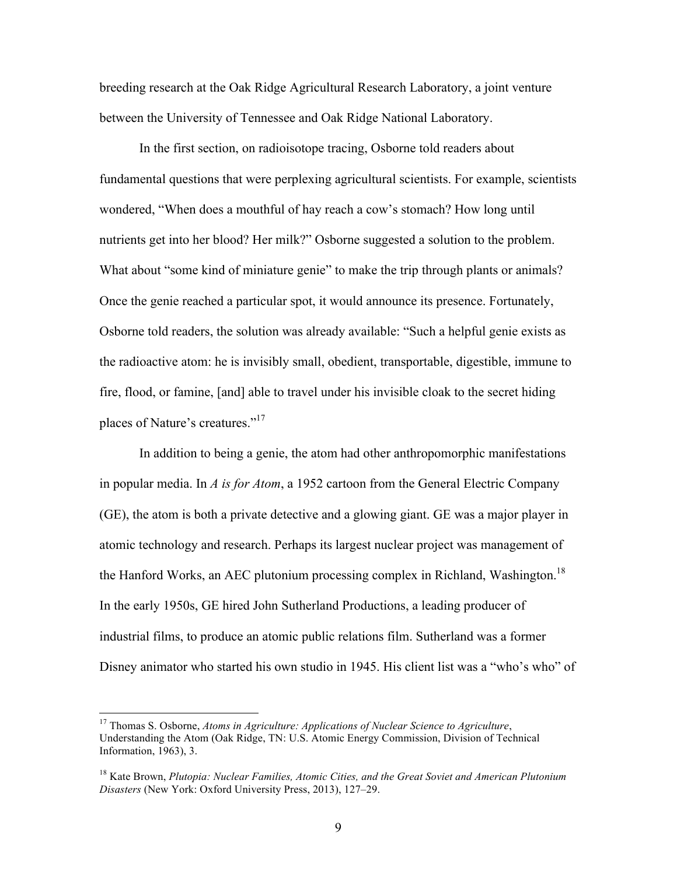breeding research at the Oak Ridge Agricultural Research Laboratory, a joint venture between the University of Tennessee and Oak Ridge National Laboratory.

In the first section, on radioisotope tracing, Osborne told readers about fundamental questions that were perplexing agricultural scientists. For example, scientists wondered, "When does a mouthful of hay reach a cow's stomach? How long until nutrients get into her blood? Her milk?" Osborne suggested a solution to the problem. What about "some kind of miniature genie" to make the trip through plants or animals? Once the genie reached a particular spot, it would announce its presence. Fortunately, Osborne told readers, the solution was already available: "Such a helpful genie exists as the radioactive atom: he is invisibly small, obedient, transportable, digestible, immune to fire, flood, or famine, [and] able to travel under his invisible cloak to the secret hiding places of Nature's creatures."<sup>17</sup>

In addition to being a genie, the atom had other anthropomorphic manifestations in popular media. In *A is for Atom*, a 1952 cartoon from the General Electric Company (GE), the atom is both a private detective and a glowing giant. GE was a major player in atomic technology and research. Perhaps its largest nuclear project was management of the Hanford Works, an AEC plutonium processing complex in Richland, Washington.<sup>18</sup> In the early 1950s, GE hired John Sutherland Productions, a leading producer of industrial films, to produce an atomic public relations film. Sutherland was a former Disney animator who started his own studio in 1945. His client list was a "who's who" of

 <sup>17</sup> Thomas S. Osborne, *Atoms in Agriculture: Applications of Nuclear Science to Agriculture*, Understanding the Atom (Oak Ridge, TN: U.S. Atomic Energy Commission, Division of Technical Information, 1963), 3.

<sup>18</sup> Kate Brown, *Plutopia: Nuclear Families, Atomic Cities, and the Great Soviet and American Plutonium Disasters* (New York: Oxford University Press, 2013), 127–29.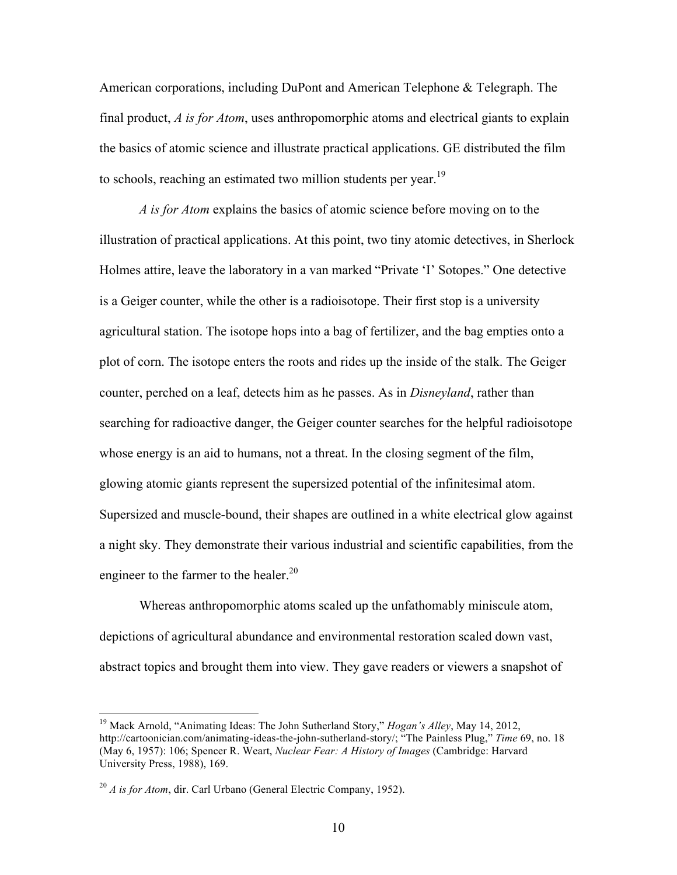American corporations, including DuPont and American Telephone & Telegraph. The final product, *A is for Atom*, uses anthropomorphic atoms and electrical giants to explain the basics of atomic science and illustrate practical applications. GE distributed the film to schools, reaching an estimated two million students per year.<sup>19</sup>

*A is for Atom* explains the basics of atomic science before moving on to the illustration of practical applications. At this point, two tiny atomic detectives, in Sherlock Holmes attire, leave the laboratory in a van marked "Private 'I' Sotopes." One detective is a Geiger counter, while the other is a radioisotope. Their first stop is a university agricultural station. The isotope hops into a bag of fertilizer, and the bag empties onto a plot of corn. The isotope enters the roots and rides up the inside of the stalk. The Geiger counter, perched on a leaf, detects him as he passes. As in *Disneyland*, rather than searching for radioactive danger, the Geiger counter searches for the helpful radioisotope whose energy is an aid to humans, not a threat. In the closing segment of the film, glowing atomic giants represent the supersized potential of the infinitesimal atom. Supersized and muscle-bound, their shapes are outlined in a white electrical glow against a night sky. They demonstrate their various industrial and scientific capabilities, from the engineer to the farmer to the healer.<sup>20</sup>

Whereas anthropomorphic atoms scaled up the unfathomably miniscule atom, depictions of agricultural abundance and environmental restoration scaled down vast, abstract topics and brought them into view. They gave readers or viewers a snapshot of

 <sup>19</sup> Mack Arnold, "Animating Ideas: The John Sutherland Story," *Hogan's Alley*, May 14, 2012, http://cartoonician.com/animating-ideas-the-john-sutherland-story/; "The Painless Plug," *Time* 69, no. 18 (May 6, 1957): 106; Spencer R. Weart, *Nuclear Fear: A History of Images* (Cambridge: Harvard University Press, 1988), 169.

<sup>&</sup>lt;sup>20</sup> *A is for Atom*, dir. Carl Urbano (General Electric Company, 1952).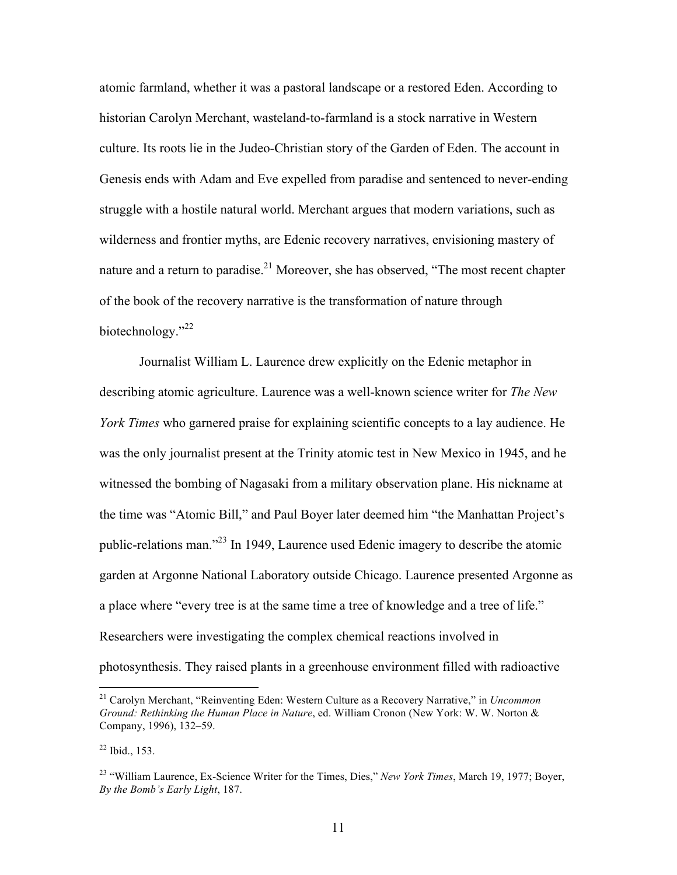atomic farmland, whether it was a pastoral landscape or a restored Eden. According to historian Carolyn Merchant, wasteland-to-farmland is a stock narrative in Western culture. Its roots lie in the Judeo-Christian story of the Garden of Eden. The account in Genesis ends with Adam and Eve expelled from paradise and sentenced to never-ending struggle with a hostile natural world. Merchant argues that modern variations, such as wilderness and frontier myths, are Edenic recovery narratives, envisioning mastery of nature and a return to paradise.<sup>21</sup> Moreover, she has observed, "The most recent chapter of the book of the recovery narrative is the transformation of nature through biotechnology."<sup>22</sup>

Journalist William L. Laurence drew explicitly on the Edenic metaphor in describing atomic agriculture. Laurence was a well-known science writer for *The New York Times* who garnered praise for explaining scientific concepts to a lay audience. He was the only journalist present at the Trinity atomic test in New Mexico in 1945, and he witnessed the bombing of Nagasaki from a military observation plane. His nickname at the time was "Atomic Bill," and Paul Boyer later deemed him "the Manhattan Project's public-relations man."<sup>23</sup> In 1949, Laurence used Edenic imagery to describe the atomic garden at Argonne National Laboratory outside Chicago. Laurence presented Argonne as a place where "every tree is at the same time a tree of knowledge and a tree of life." Researchers were investigating the complex chemical reactions involved in photosynthesis. They raised plants in a greenhouse environment filled with radioactive

 <sup>21</sup> Carolyn Merchant, "Reinventing Eden: Western Culture as a Recovery Narrative," in *Uncommon Ground: Rethinking the Human Place in Nature*, ed. William Cronon (New York: W. W. Norton & Company, 1996), 132–59.

<sup>22</sup> Ibid., 153.

<sup>23</sup> "William Laurence, Ex-Science Writer for the Times, Dies," *New York Times*, March 19, 1977; Boyer, *By the Bomb's Early Light*, 187.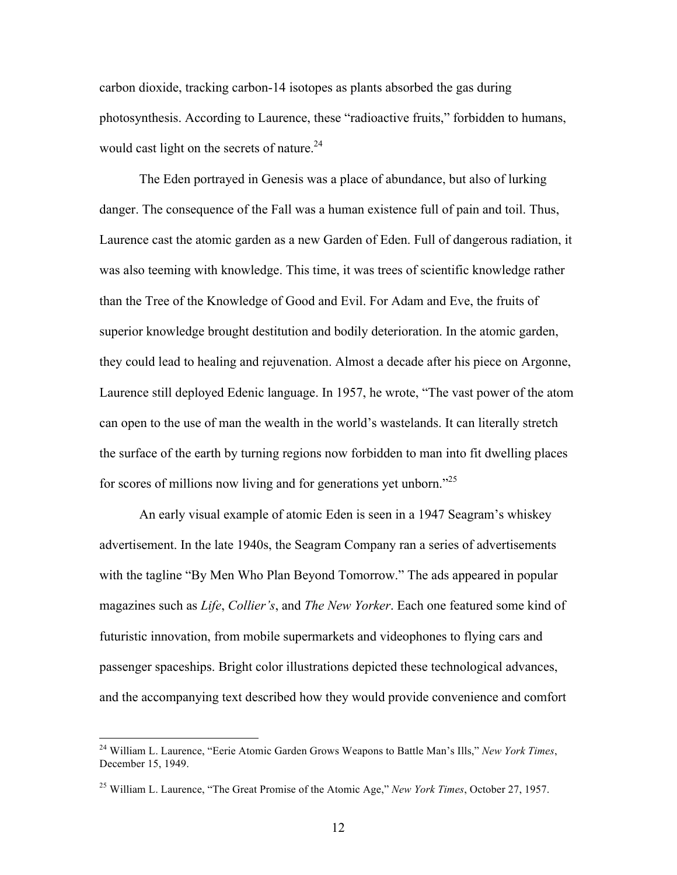carbon dioxide, tracking carbon-14 isotopes as plants absorbed the gas during photosynthesis. According to Laurence, these "radioactive fruits," forbidden to humans, would cast light on the secrets of nature.<sup>24</sup>

The Eden portrayed in Genesis was a place of abundance, but also of lurking danger. The consequence of the Fall was a human existence full of pain and toil. Thus, Laurence cast the atomic garden as a new Garden of Eden. Full of dangerous radiation, it was also teeming with knowledge. This time, it was trees of scientific knowledge rather than the Tree of the Knowledge of Good and Evil. For Adam and Eve, the fruits of superior knowledge brought destitution and bodily deterioration. In the atomic garden, they could lead to healing and rejuvenation. Almost a decade after his piece on Argonne, Laurence still deployed Edenic language. In 1957, he wrote, "The vast power of the atom can open to the use of man the wealth in the world's wastelands. It can literally stretch the surface of the earth by turning regions now forbidden to man into fit dwelling places for scores of millions now living and for generations yet unborn."<sup>25</sup>

An early visual example of atomic Eden is seen in a 1947 Seagram's whiskey advertisement. In the late 1940s, the Seagram Company ran a series of advertisements with the tagline "By Men Who Plan Beyond Tomorrow." The ads appeared in popular magazines such as *Life*, *Collier's*, and *The New Yorker*. Each one featured some kind of futuristic innovation, from mobile supermarkets and videophones to flying cars and passenger spaceships. Bright color illustrations depicted these technological advances, and the accompanying text described how they would provide convenience and comfort

 <sup>24</sup> William L. Laurence, "Eerie Atomic Garden Grows Weapons to Battle Man's Ills," *New York Times*, December 15, 1949.

<sup>25</sup> William L. Laurence, "The Great Promise of the Atomic Age," *New York Times*, October 27, 1957.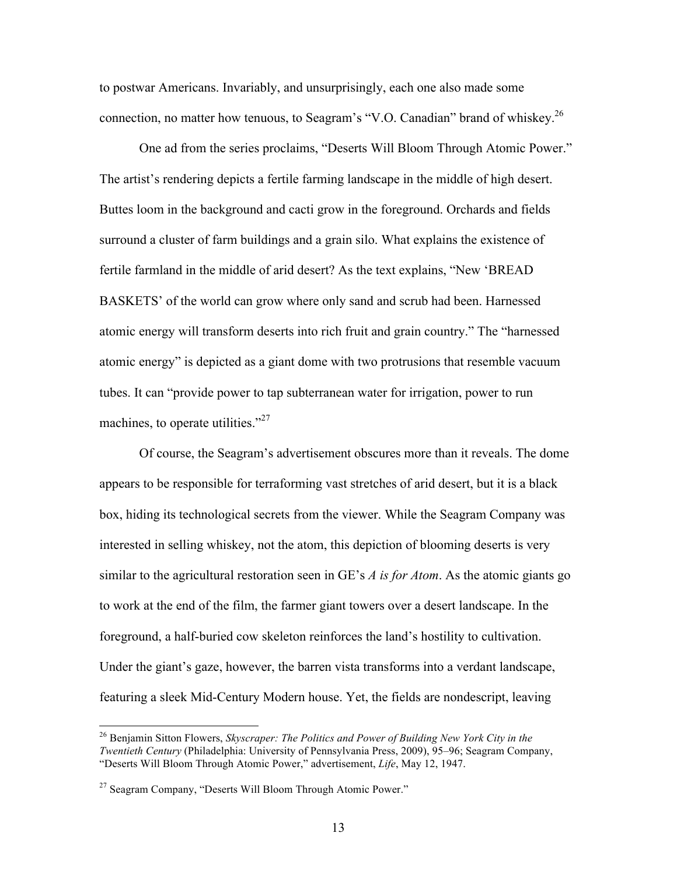to postwar Americans. Invariably, and unsurprisingly, each one also made some connection, no matter how tenuous, to Seagram's "V.O. Canadian" brand of whiskey.<sup>26</sup>

One ad from the series proclaims, "Deserts Will Bloom Through Atomic Power." The artist's rendering depicts a fertile farming landscape in the middle of high desert. Buttes loom in the background and cacti grow in the foreground. Orchards and fields surround a cluster of farm buildings and a grain silo. What explains the existence of fertile farmland in the middle of arid desert? As the text explains, "New 'BREAD BASKETS' of the world can grow where only sand and scrub had been. Harnessed atomic energy will transform deserts into rich fruit and grain country." The "harnessed atomic energy" is depicted as a giant dome with two protrusions that resemble vacuum tubes. It can "provide power to tap subterranean water for irrigation, power to run machines, to operate utilities."<sup>27</sup>

Of course, the Seagram's advertisement obscures more than it reveals. The dome appears to be responsible for terraforming vast stretches of arid desert, but it is a black box, hiding its technological secrets from the viewer. While the Seagram Company was interested in selling whiskey, not the atom, this depiction of blooming deserts is very similar to the agricultural restoration seen in GE's *A is for Atom*. As the atomic giants go to work at the end of the film, the farmer giant towers over a desert landscape. In the foreground, a half-buried cow skeleton reinforces the land's hostility to cultivation. Under the giant's gaze, however, the barren vista transforms into a verdant landscape, featuring a sleek Mid-Century Modern house. Yet, the fields are nondescript, leaving

 <sup>26</sup> Benjamin Sitton Flowers, *Skyscraper: The Politics and Power of Building New York City in the Twentieth Century* (Philadelphia: University of Pennsylvania Press, 2009), 95–96; Seagram Company, "Deserts Will Bloom Through Atomic Power," advertisement, *Life*, May 12, 1947.

 $27$  Seagram Company, "Deserts Will Bloom Through Atomic Power."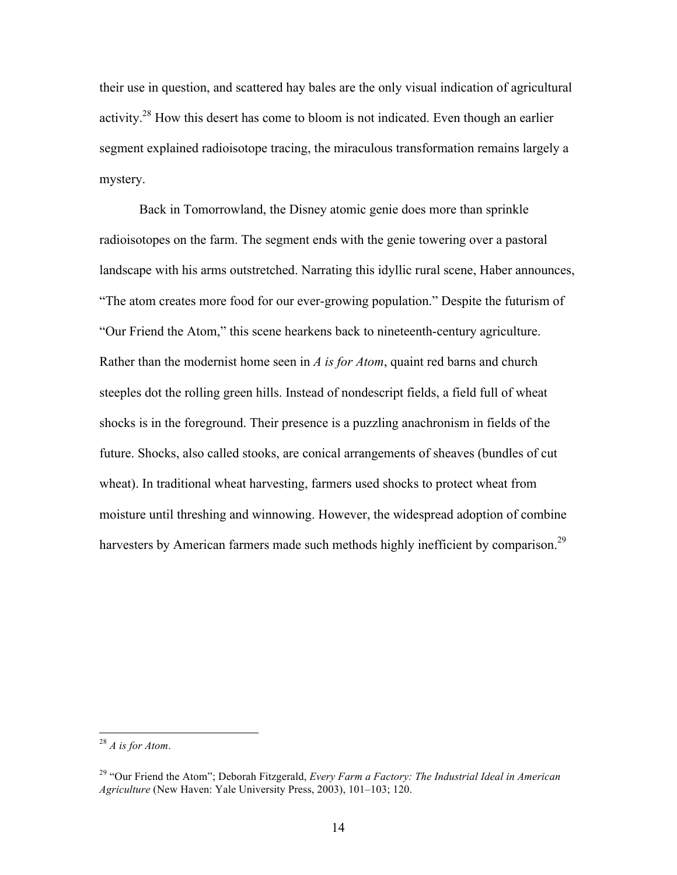their use in question, and scattered hay bales are the only visual indication of agricultural activity.<sup>28</sup> How this desert has come to bloom is not indicated. Even though an earlier segment explained radioisotope tracing, the miraculous transformation remains largely a mystery.

Back in Tomorrowland, the Disney atomic genie does more than sprinkle radioisotopes on the farm. The segment ends with the genie towering over a pastoral landscape with his arms outstretched. Narrating this idyllic rural scene, Haber announces, "The atom creates more food for our ever-growing population." Despite the futurism of "Our Friend the Atom," this scene hearkens back to nineteenth-century agriculture. Rather than the modernist home seen in *A is for Atom*, quaint red barns and church steeples dot the rolling green hills. Instead of nondescript fields, a field full of wheat shocks is in the foreground. Their presence is a puzzling anachronism in fields of the future. Shocks, also called stooks, are conical arrangements of sheaves (bundles of cut wheat). In traditional wheat harvesting, farmers used shocks to protect wheat from moisture until threshing and winnowing. However, the widespread adoption of combine harvesters by American farmers made such methods highly inefficient by comparison.<sup>29</sup>

 <sup>28</sup> *A is for Atom*.

<sup>29</sup> "Our Friend the Atom"; Deborah Fitzgerald, *Every Farm a Factory: The Industrial Ideal in American Agriculture* (New Haven: Yale University Press, 2003), 101–103; 120.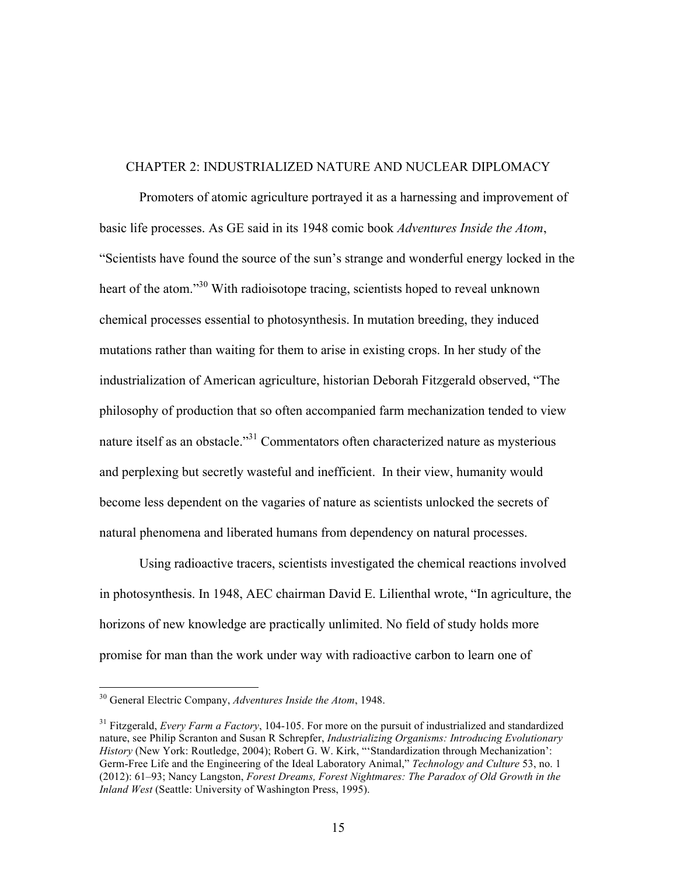#### CHAPTER 2: INDUSTRIALIZED NATURE AND NUCLEAR DIPLOMACY

Promoters of atomic agriculture portrayed it as a harnessing and improvement of basic life processes. As GE said in its 1948 comic book *Adventures Inside the Atom*, "Scientists have found the source of the sun's strange and wonderful energy locked in the heart of the atom."<sup>30</sup> With radioisotope tracing, scientists hoped to reveal unknown chemical processes essential to photosynthesis. In mutation breeding, they induced mutations rather than waiting for them to arise in existing crops. In her study of the industrialization of American agriculture, historian Deborah Fitzgerald observed, "The philosophy of production that so often accompanied farm mechanization tended to view nature itself as an obstacle."<sup>31</sup> Commentators often characterized nature as mysterious and perplexing but secretly wasteful and inefficient. In their view, humanity would become less dependent on the vagaries of nature as scientists unlocked the secrets of natural phenomena and liberated humans from dependency on natural processes.

Using radioactive tracers, scientists investigated the chemical reactions involved in photosynthesis. In 1948, AEC chairman David E. Lilienthal wrote, "In agriculture, the horizons of new knowledge are practically unlimited. No field of study holds more promise for man than the work under way with radioactive carbon to learn one of

 <sup>30</sup> General Electric Company, *Adventures Inside the Atom*, 1948.

<sup>31</sup> Fitzgerald, *Every Farm a Factory*, 104-105. For more on the pursuit of industrialized and standardized nature, see Philip Scranton and Susan R Schrepfer, *Industrializing Organisms: Introducing Evolutionary History* (New York: Routledge, 2004); Robert G. W. Kirk, "'Standardization through Mechanization': Germ-Free Life and the Engineering of the Ideal Laboratory Animal," *Technology and Culture* 53, no. 1 (2012): 61–93; Nancy Langston, *Forest Dreams, Forest Nightmares: The Paradox of Old Growth in the Inland West* (Seattle: University of Washington Press, 1995).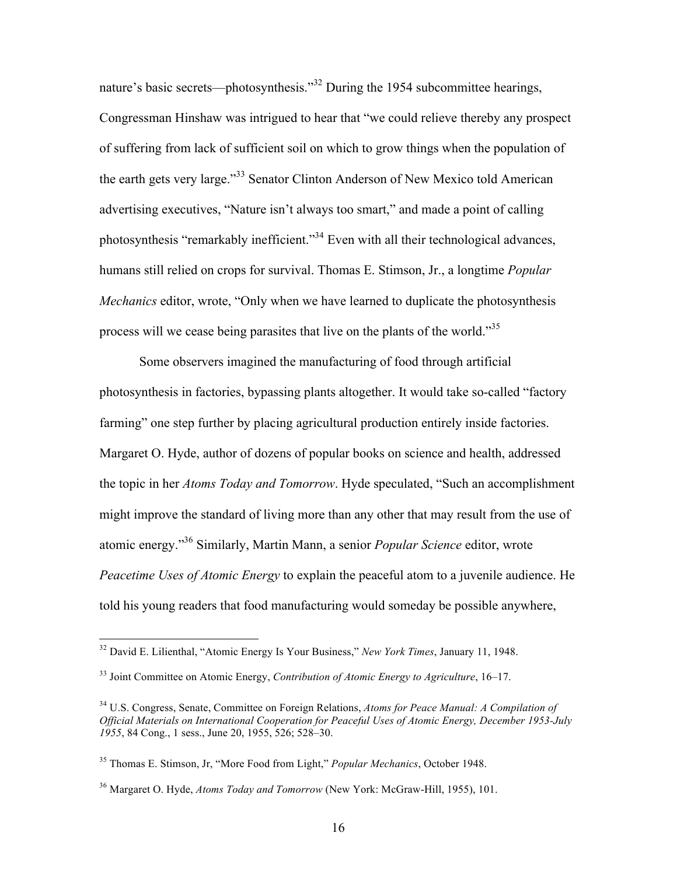nature's basic secrets—photosynthesis."<sup>32</sup> During the 1954 subcommittee hearings, Congressman Hinshaw was intrigued to hear that "we could relieve thereby any prospect of suffering from lack of sufficient soil on which to grow things when the population of the earth gets very large."<sup>33</sup> Senator Clinton Anderson of New Mexico told American advertising executives, "Nature isn't always too smart," and made a point of calling photosynthesis "remarkably inefficient."<sup>34</sup> Even with all their technological advances, humans still relied on crops for survival. Thomas E. Stimson, Jr., a longtime *Popular Mechanics* editor, wrote, "Only when we have learned to duplicate the photosynthesis process will we cease being parasites that live on the plants of the world."<sup>35</sup>

Some observers imagined the manufacturing of food through artificial photosynthesis in factories, bypassing plants altogether. It would take so-called "factory farming" one step further by placing agricultural production entirely inside factories. Margaret O. Hyde, author of dozens of popular books on science and health, addressed the topic in her *Atoms Today and Tomorrow*. Hyde speculated, "Such an accomplishment might improve the standard of living more than any other that may result from the use of atomic energy." <sup>36</sup> Similarly, Martin Mann, a senior *Popular Science* editor, wrote *Peacetime Uses of Atomic Energy* to explain the peaceful atom to a juvenile audience. He told his young readers that food manufacturing would someday be possible anywhere,

 <sup>32</sup> David E. Lilienthal, "Atomic Energy Is Your Business," *New York Times*, January 11, 1948.

<sup>33</sup> Joint Committee on Atomic Energy, *Contribution of Atomic Energy to Agriculture*, 16–17.

<sup>34</sup> U.S. Congress, Senate, Committee on Foreign Relations, *Atoms for Peace Manual: A Compilation of Official Materials on International Cooperation for Peaceful Uses of Atomic Energy, December 1953-July 1955*, 84 Cong., 1 sess., June 20, 1955, 526; 528–30.

<sup>35</sup> Thomas E. Stimson, Jr, "More Food from Light," *Popular Mechanics*, October 1948.

<sup>36</sup> Margaret O. Hyde, *Atoms Today and Tomorrow* (New York: McGraw-Hill, 1955), 101.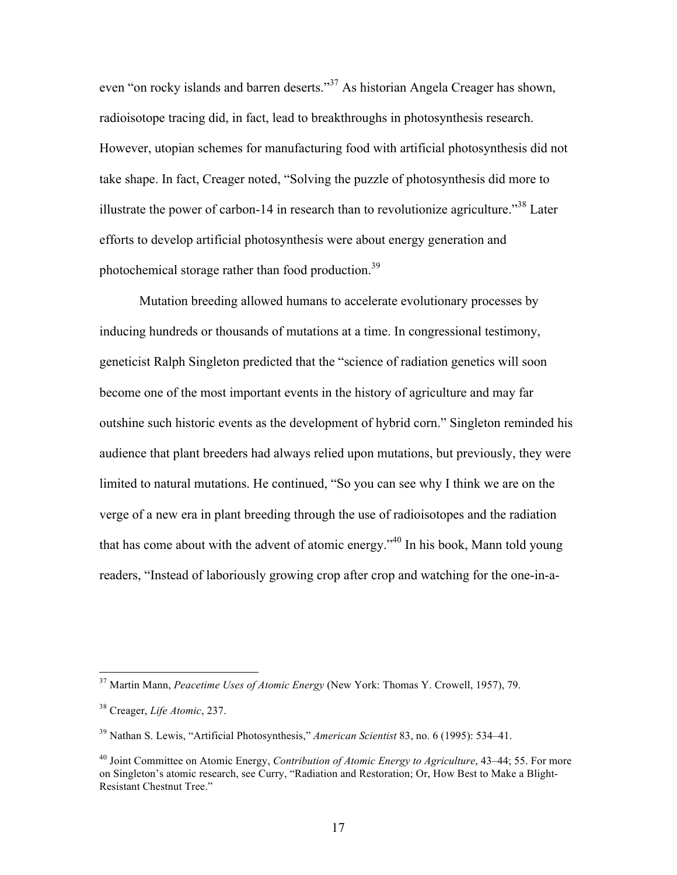even "on rocky islands and barren deserts."<sup>37</sup> As historian Angela Creager has shown, radioisotope tracing did, in fact, lead to breakthroughs in photosynthesis research. However, utopian schemes for manufacturing food with artificial photosynthesis did not take shape. In fact, Creager noted, "Solving the puzzle of photosynthesis did more to illustrate the power of carbon-14 in research than to revolutionize agriculture."<sup>38</sup> Later efforts to develop artificial photosynthesis were about energy generation and photochemical storage rather than food production.<sup>39</sup>

Mutation breeding allowed humans to accelerate evolutionary processes by inducing hundreds or thousands of mutations at a time. In congressional testimony, geneticist Ralph Singleton predicted that the "science of radiation genetics will soon become one of the most important events in the history of agriculture and may far outshine such historic events as the development of hybrid corn." Singleton reminded his audience that plant breeders had always relied upon mutations, but previously, they were limited to natural mutations. He continued, "So you can see why I think we are on the verge of a new era in plant breeding through the use of radioisotopes and the radiation that has come about with the advent of atomic energy."<sup>40</sup> In his book, Mann told young readers, "Instead of laboriously growing crop after crop and watching for the one-in-a-

 <sup>37</sup> Martin Mann, *Peacetime Uses of Atomic Energy* (New York: Thomas Y. Crowell, 1957), 79.

<sup>38</sup> Creager, *Life Atomic*, 237.

<sup>39</sup> Nathan S. Lewis, "Artificial Photosynthesis," *American Scientist* 83, no. 6 (1995): 534–41.

<sup>40</sup> Joint Committee on Atomic Energy, *Contribution of Atomic Energy to Agriculture*, 43–44; 55. For more on Singleton's atomic research, see Curry, "Radiation and Restoration; Or, How Best to Make a Blight-Resistant Chestnut Tree."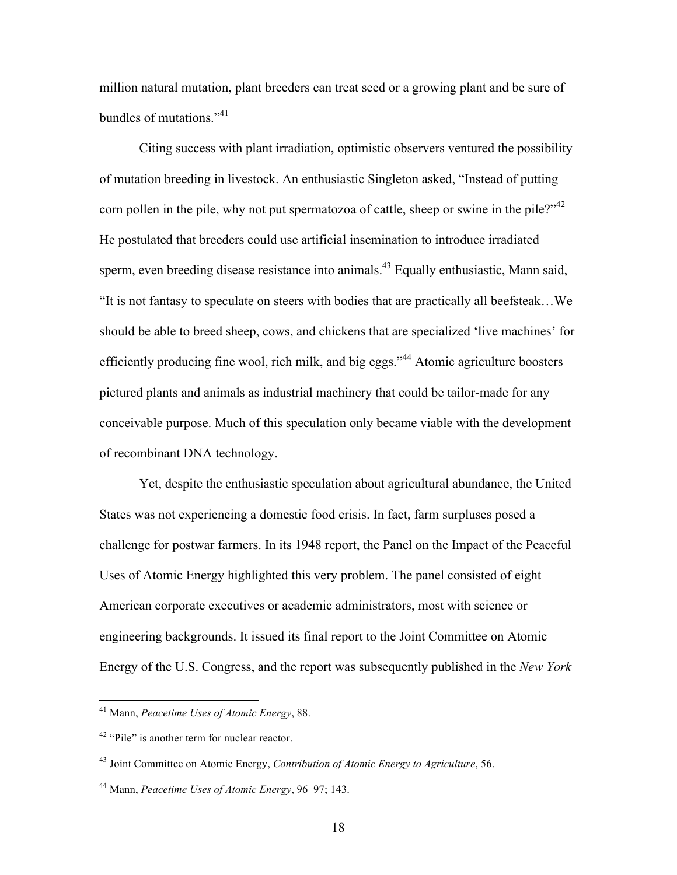million natural mutation, plant breeders can treat seed or a growing plant and be sure of bundles of mutations."<sup>41</sup>

Citing success with plant irradiation, optimistic observers ventured the possibility of mutation breeding in livestock. An enthusiastic Singleton asked, "Instead of putting corn pollen in the pile, why not put spermatozoa of cattle, sheep or swine in the pile?"<sup>42</sup> He postulated that breeders could use artificial insemination to introduce irradiated sperm, even breeding disease resistance into animals.<sup>43</sup> Equally enthusiastic, Mann said, "It is not fantasy to speculate on steers with bodies that are practically all beefsteak…We should be able to breed sheep, cows, and chickens that are specialized 'live machines' for efficiently producing fine wool, rich milk, and big eggs."<sup>44</sup> Atomic agriculture boosters pictured plants and animals as industrial machinery that could be tailor-made for any conceivable purpose. Much of this speculation only became viable with the development of recombinant DNA technology.

Yet, despite the enthusiastic speculation about agricultural abundance, the United States was not experiencing a domestic food crisis. In fact, farm surpluses posed a challenge for postwar farmers. In its 1948 report, the Panel on the Impact of the Peaceful Uses of Atomic Energy highlighted this very problem. The panel consisted of eight American corporate executives or academic administrators, most with science or engineering backgrounds. It issued its final report to the Joint Committee on Atomic Energy of the U.S. Congress, and the report was subsequently published in the *New York* 

 <sup>41</sup> Mann, *Peacetime Uses of Atomic Energy*, 88.

<sup>&</sup>lt;sup>42</sup> "Pile" is another term for nuclear reactor.

<sup>43</sup> Joint Committee on Atomic Energy, *Contribution of Atomic Energy to Agriculture*, 56.

<sup>44</sup> Mann, *Peacetime Uses of Atomic Energy*, 96–97; 143.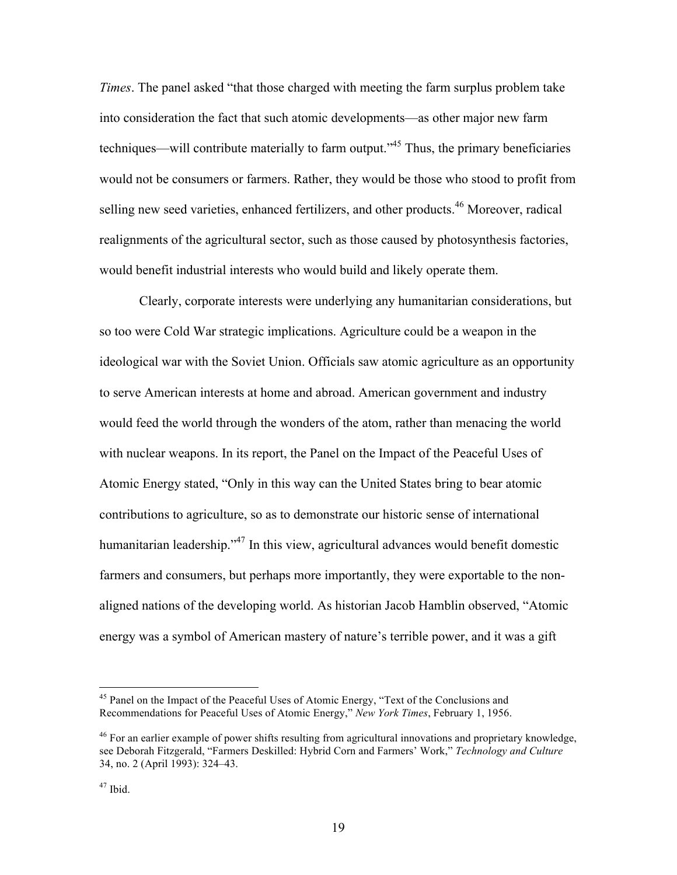*Times*. The panel asked "that those charged with meeting the farm surplus problem take into consideration the fact that such atomic developments—as other major new farm techniques—will contribute materially to farm output."<sup>45</sup> Thus, the primary beneficiaries would not be consumers or farmers. Rather, they would be those who stood to profit from selling new seed varieties, enhanced fertilizers, and other products.<sup>46</sup> Moreover, radical realignments of the agricultural sector, such as those caused by photosynthesis factories, would benefit industrial interests who would build and likely operate them.

Clearly, corporate interests were underlying any humanitarian considerations, but so too were Cold War strategic implications. Agriculture could be a weapon in the ideological war with the Soviet Union. Officials saw atomic agriculture as an opportunity to serve American interests at home and abroad. American government and industry would feed the world through the wonders of the atom, rather than menacing the world with nuclear weapons. In its report, the Panel on the Impact of the Peaceful Uses of Atomic Energy stated, "Only in this way can the United States bring to bear atomic contributions to agriculture, so as to demonstrate our historic sense of international humanitarian leadership."<sup>47</sup> In this view, agricultural advances would benefit domestic farmers and consumers, but perhaps more importantly, they were exportable to the nonaligned nations of the developing world. As historian Jacob Hamblin observed, "Atomic energy was a symbol of American mastery of nature's terrible power, and it was a gift

<sup>&</sup>lt;sup>45</sup> Panel on the Impact of the Peaceful Uses of Atomic Energy, "Text of the Conclusions and Recommendations for Peaceful Uses of Atomic Energy," *New York Times*, February 1, 1956.

<sup>&</sup>lt;sup>46</sup> For an earlier example of power shifts resulting from agricultural innovations and proprietary knowledge, see Deborah Fitzgerald, "Farmers Deskilled: Hybrid Corn and Farmers' Work," *Technology and Culture* 34, no. 2 (April 1993): 324–43.

 $47$  Ibid.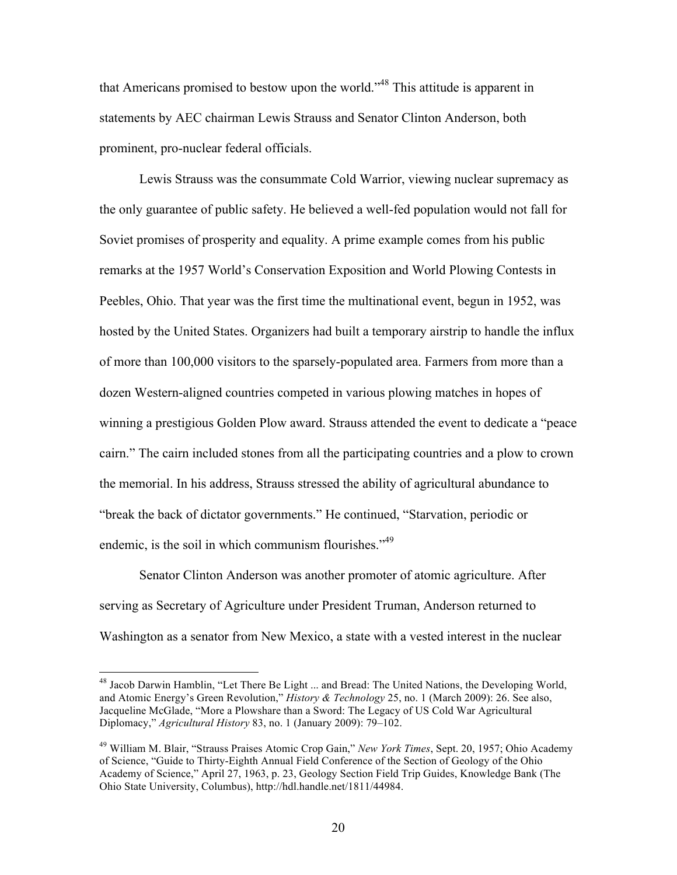that Americans promised to bestow upon the world."<sup>48</sup> This attitude is apparent in statements by AEC chairman Lewis Strauss and Senator Clinton Anderson, both prominent, pro-nuclear federal officials.

Lewis Strauss was the consummate Cold Warrior, viewing nuclear supremacy as the only guarantee of public safety. He believed a well-fed population would not fall for Soviet promises of prosperity and equality. A prime example comes from his public remarks at the 1957 World's Conservation Exposition and World Plowing Contests in Peebles, Ohio. That year was the first time the multinational event, begun in 1952, was hosted by the United States. Organizers had built a temporary airstrip to handle the influx of more than 100,000 visitors to the sparsely-populated area. Farmers from more than a dozen Western-aligned countries competed in various plowing matches in hopes of winning a prestigious Golden Plow award. Strauss attended the event to dedicate a "peace cairn." The cairn included stones from all the participating countries and a plow to crown the memorial. In his address, Strauss stressed the ability of agricultural abundance to "break the back of dictator governments." He continued, "Starvation, periodic or endemic, is the soil in which communism flourishes."<sup>49</sup>

Senator Clinton Anderson was another promoter of atomic agriculture. After serving as Secretary of Agriculture under President Truman, Anderson returned to Washington as a senator from New Mexico, a state with a vested interest in the nuclear

<sup>&</sup>lt;sup>48</sup> Jacob Darwin Hamblin, "Let There Be Light ... and Bread: The United Nations, the Developing World, and Atomic Energy's Green Revolution," *History & Technology* 25, no. 1 (March 2009): 26. See also, Jacqueline McGlade, "More a Plowshare than a Sword: The Legacy of US Cold War Agricultural Diplomacy," *Agricultural History* 83, no. 1 (January 2009): 79–102.

<sup>49</sup> William M. Blair, "Strauss Praises Atomic Crop Gain," *New York Times*, Sept. 20, 1957; Ohio Academy of Science, "Guide to Thirty-Eighth Annual Field Conference of the Section of Geology of the Ohio Academy of Science," April 27, 1963, p. 23, Geology Section Field Trip Guides, Knowledge Bank (The Ohio State University, Columbus), http://hdl.handle.net/1811/44984.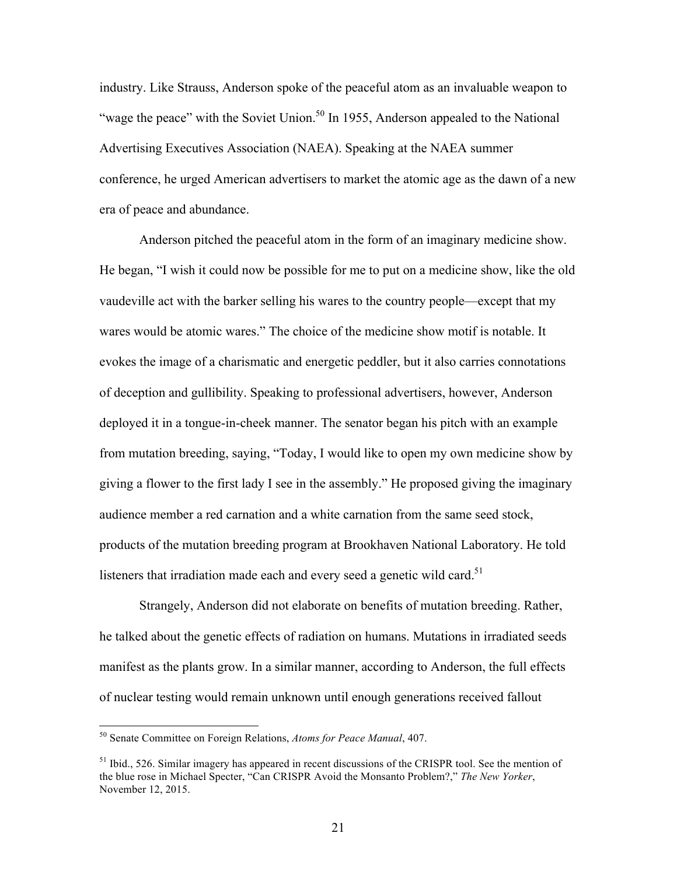industry. Like Strauss, Anderson spoke of the peaceful atom as an invaluable weapon to "wage the peace" with the Soviet Union.<sup>50</sup> In 1955, Anderson appealed to the National Advertising Executives Association (NAEA). Speaking at the NAEA summer conference, he urged American advertisers to market the atomic age as the dawn of a new era of peace and abundance.

Anderson pitched the peaceful atom in the form of an imaginary medicine show. He began, "I wish it could now be possible for me to put on a medicine show, like the old vaudeville act with the barker selling his wares to the country people—except that my wares would be atomic wares." The choice of the medicine show motif is notable. It evokes the image of a charismatic and energetic peddler, but it also carries connotations of deception and gullibility. Speaking to professional advertisers, however, Anderson deployed it in a tongue-in-cheek manner. The senator began his pitch with an example from mutation breeding, saying, "Today, I would like to open my own medicine show by giving a flower to the first lady I see in the assembly." He proposed giving the imaginary audience member a red carnation and a white carnation from the same seed stock, products of the mutation breeding program at Brookhaven National Laboratory. He told listeners that irradiation made each and every seed a genetic wild card. $51$ 

Strangely, Anderson did not elaborate on benefits of mutation breeding. Rather, he talked about the genetic effects of radiation on humans. Mutations in irradiated seeds manifest as the plants grow. In a similar manner, according to Anderson, the full effects of nuclear testing would remain unknown until enough generations received fallout

 <sup>50</sup> Senate Committee on Foreign Relations, *Atoms for Peace Manual*, 407.

 $<sup>51</sup>$  Ibid., 526. Similar imagery has appeared in recent discussions of the CRISPR tool. See the mention of</sup> the blue rose in Michael Specter, "Can CRISPR Avoid the Monsanto Problem?," *The New Yorker*, November 12, 2015.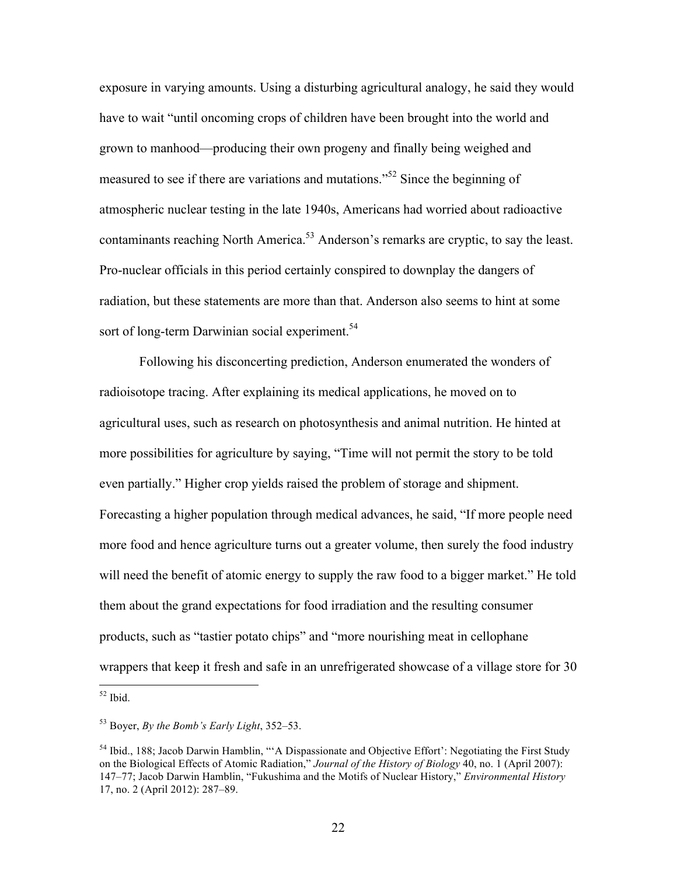exposure in varying amounts. Using a disturbing agricultural analogy, he said they would have to wait "until oncoming crops of children have been brought into the world and grown to manhood—producing their own progeny and finally being weighed and measured to see if there are variations and mutations." <sup>52</sup> Since the beginning of atmospheric nuclear testing in the late 1940s, Americans had worried about radioactive contaminants reaching North America.<sup>53</sup> Anderson's remarks are cryptic, to say the least. Pro-nuclear officials in this period certainly conspired to downplay the dangers of radiation, but these statements are more than that. Anderson also seems to hint at some sort of long-term Darwinian social experiment.<sup>54</sup>

Following his disconcerting prediction, Anderson enumerated the wonders of radioisotope tracing. After explaining its medical applications, he moved on to agricultural uses, such as research on photosynthesis and animal nutrition. He hinted at more possibilities for agriculture by saying, "Time will not permit the story to be told even partially." Higher crop yields raised the problem of storage and shipment. Forecasting a higher population through medical advances, he said, "If more people need more food and hence agriculture turns out a greater volume, then surely the food industry will need the benefit of atomic energy to supply the raw food to a bigger market." He told them about the grand expectations for food irradiation and the resulting consumer products, such as "tastier potato chips" and "more nourishing meat in cellophane wrappers that keep it fresh and safe in an unrefrigerated showcase of a village store for 30

 $52$  Ibid.

<sup>53</sup> Boyer, *By the Bomb's Early Light*, 352–53.

<sup>&</sup>lt;sup>54</sup> Ibid., 188; Jacob Darwin Hamblin, "'A Dispassionate and Objective Effort': Negotiating the First Study on the Biological Effects of Atomic Radiation," *Journal of the History of Biology* 40, no. 1 (April 2007): 147–77; Jacob Darwin Hamblin, "Fukushima and the Motifs of Nuclear History," *Environmental History* 17, no. 2 (April 2012): 287–89.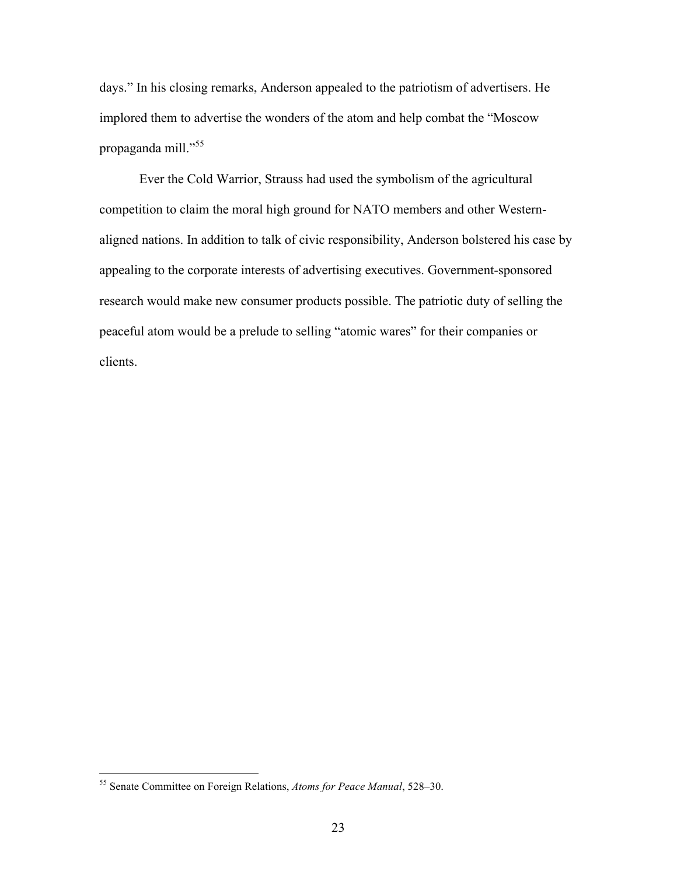days." In his closing remarks, Anderson appealed to the patriotism of advertisers. He implored them to advertise the wonders of the atom and help combat the "Moscow propaganda mill."<sup>55</sup>

Ever the Cold Warrior, Strauss had used the symbolism of the agricultural competition to claim the moral high ground for NATO members and other Westernaligned nations. In addition to talk of civic responsibility, Anderson bolstered his case by appealing to the corporate interests of advertising executives. Government-sponsored research would make new consumer products possible. The patriotic duty of selling the peaceful atom would be a prelude to selling "atomic wares" for their companies or clients.

 <sup>55</sup> Senate Committee on Foreign Relations, *Atoms for Peace Manual*, 528–30.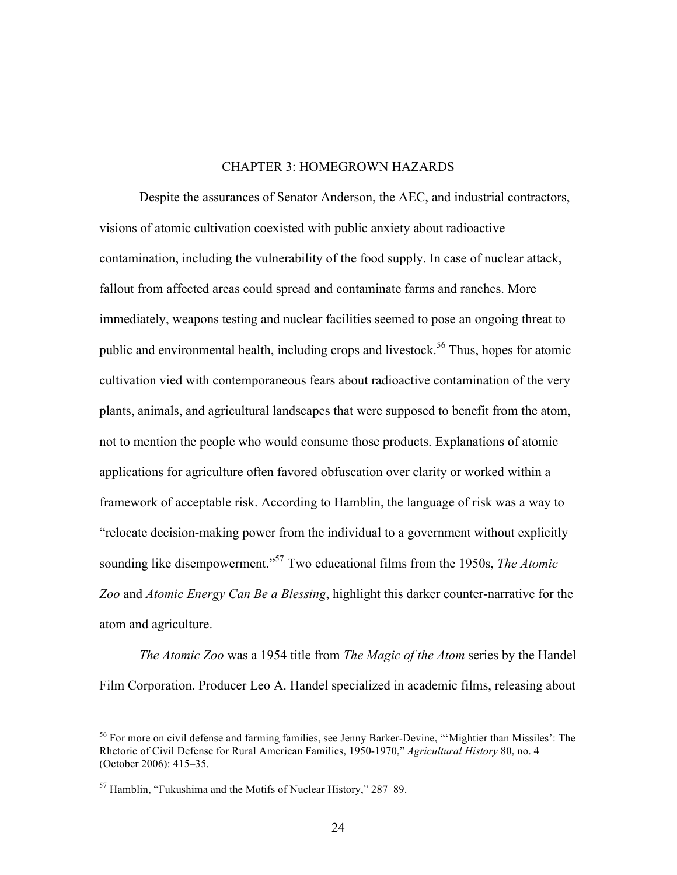#### CHAPTER 3: HOMEGROWN HAZARDS

Despite the assurances of Senator Anderson, the AEC, and industrial contractors, visions of atomic cultivation coexisted with public anxiety about radioactive contamination, including the vulnerability of the food supply. In case of nuclear attack, fallout from affected areas could spread and contaminate farms and ranches. More immediately, weapons testing and nuclear facilities seemed to pose an ongoing threat to public and environmental health, including crops and livestock.<sup>56</sup> Thus, hopes for atomic cultivation vied with contemporaneous fears about radioactive contamination of the very plants, animals, and agricultural landscapes that were supposed to benefit from the atom, not to mention the people who would consume those products. Explanations of atomic applications for agriculture often favored obfuscation over clarity or worked within a framework of acceptable risk. According to Hamblin, the language of risk was a way to "relocate decision-making power from the individual to a government without explicitly sounding like disempowerment." <sup>57</sup> Two educational films from the 1950s, *The Atomic Zoo* and *Atomic Energy Can Be a Blessing*, highlight this darker counter-narrative for the atom and agriculture.

*The Atomic Zoo* was a 1954 title from *The Magic of the Atom* series by the Handel Film Corporation. Producer Leo A. Handel specialized in academic films, releasing about

 <sup>56</sup> For more on civil defense and farming families, see Jenny Barker-Devine, "'Mightier than Missiles': The Rhetoric of Civil Defense for Rural American Families, 1950-1970," *Agricultural History* 80, no. 4 (October 2006): 415–35.

 $57$  Hamblin, "Fukushima and the Motifs of Nuclear History," 287–89.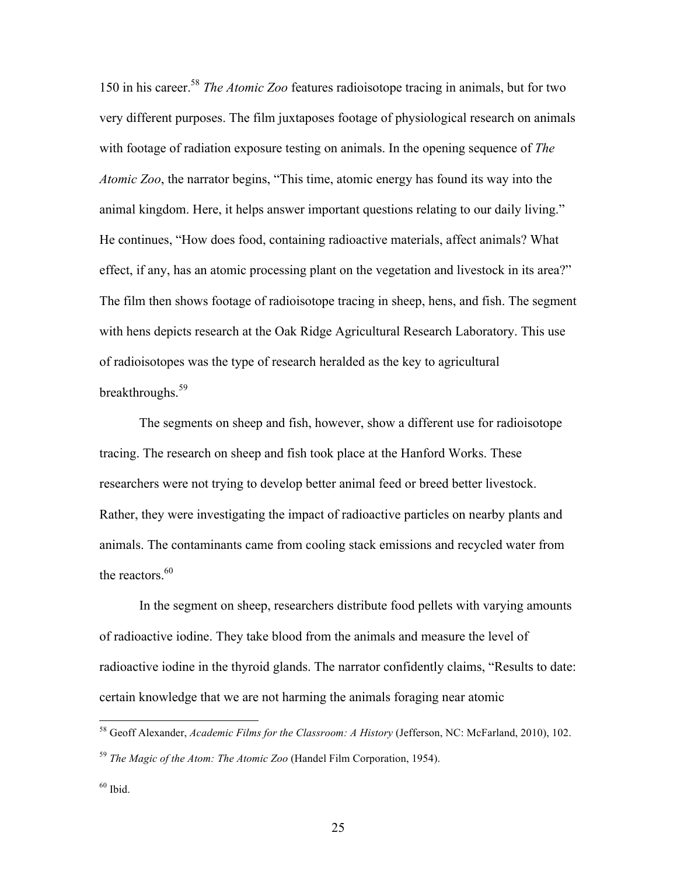150 in his career.58 *The Atomic Zoo* features radioisotope tracing in animals, but for two very different purposes. The film juxtaposes footage of physiological research on animals with footage of radiation exposure testing on animals. In the opening sequence of *The Atomic Zoo*, the narrator begins, "This time, atomic energy has found its way into the animal kingdom. Here, it helps answer important questions relating to our daily living." He continues, "How does food, containing radioactive materials, affect animals? What effect, if any, has an atomic processing plant on the vegetation and livestock in its area?" The film then shows footage of radioisotope tracing in sheep, hens, and fish. The segment with hens depicts research at the Oak Ridge Agricultural Research Laboratory. This use of radioisotopes was the type of research heralded as the key to agricultural breakthroughs.<sup>59</sup>

The segments on sheep and fish, however, show a different use for radioisotope tracing. The research on sheep and fish took place at the Hanford Works. These researchers were not trying to develop better animal feed or breed better livestock. Rather, they were investigating the impact of radioactive particles on nearby plants and animals. The contaminants came from cooling stack emissions and recycled water from the reactors. $60$ 

In the segment on sheep, researchers distribute food pellets with varying amounts of radioactive iodine. They take blood from the animals and measure the level of radioactive iodine in the thyroid glands. The narrator confidently claims, "Results to date: certain knowledge that we are not harming the animals foraging near atomic

 <sup>58</sup> Geoff Alexander, *Academic Films for the Classroom: A History* (Jefferson, NC: McFarland, 2010), 102.

<sup>59</sup> *The Magic of the Atom: The Atomic Zoo* (Handel Film Corporation, 1954).

 $60$  Ibid.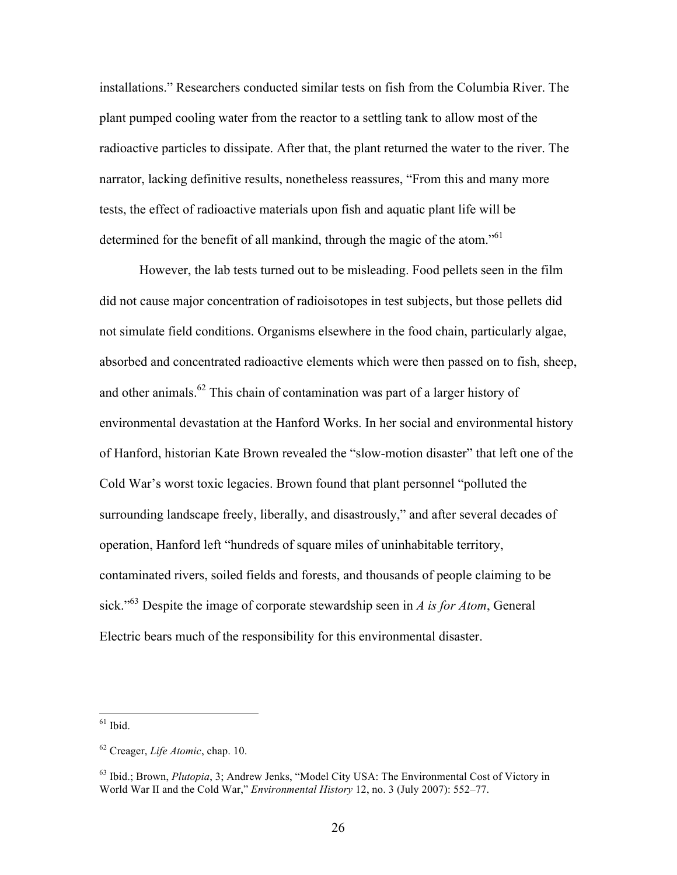installations." Researchers conducted similar tests on fish from the Columbia River. The plant pumped cooling water from the reactor to a settling tank to allow most of the radioactive particles to dissipate. After that, the plant returned the water to the river. The narrator, lacking definitive results, nonetheless reassures, "From this and many more tests, the effect of radioactive materials upon fish and aquatic plant life will be determined for the benefit of all mankind, through the magic of the atom."<sup>61</sup>

However, the lab tests turned out to be misleading. Food pellets seen in the film did not cause major concentration of radioisotopes in test subjects, but those pellets did not simulate field conditions. Organisms elsewhere in the food chain, particularly algae, absorbed and concentrated radioactive elements which were then passed on to fish, sheep, and other animals.<sup>62</sup> This chain of contamination was part of a larger history of environmental devastation at the Hanford Works. In her social and environmental history of Hanford, historian Kate Brown revealed the "slow-motion disaster" that left one of the Cold War's worst toxic legacies. Brown found that plant personnel "polluted the surrounding landscape freely, liberally, and disastrously," and after several decades of operation, Hanford left "hundreds of square miles of uninhabitable territory, contaminated rivers, soiled fields and forests, and thousands of people claiming to be sick." <sup>63</sup> Despite the image of corporate stewardship seen in *A is for Atom*, General Electric bears much of the responsibility for this environmental disaster.

 $61$  Ibid.

<sup>62</sup> Creager, *Life Atomic*, chap. 10.

<sup>63</sup> Ibid.; Brown, *Plutopia*, 3; Andrew Jenks, "Model City USA: The Environmental Cost of Victory in World War II and the Cold War," *Environmental History* 12, no. 3 (July 2007): 552–77.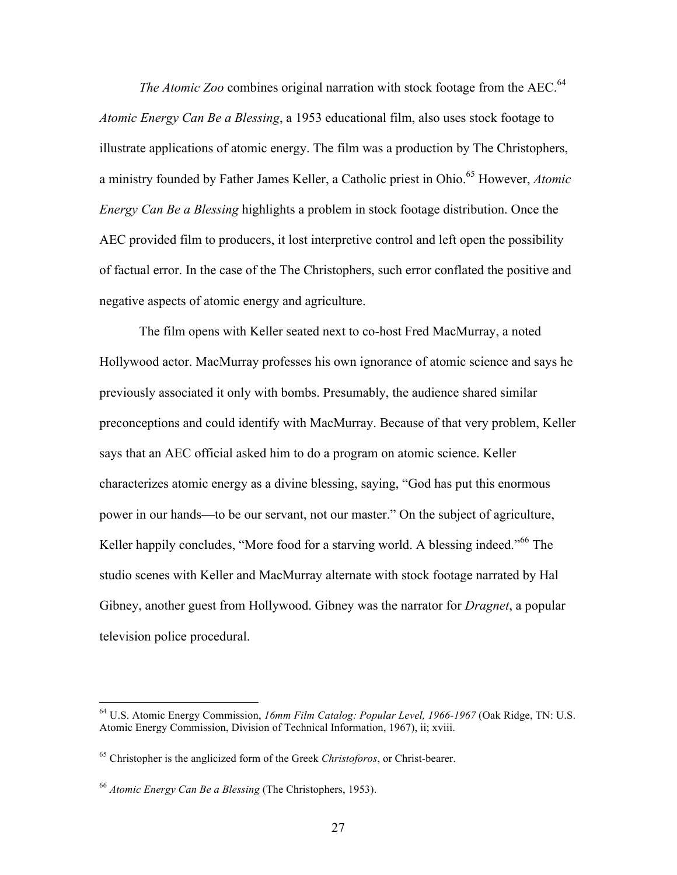*The Atomic Zoo* combines original narration with stock footage from the AEC.<sup>64</sup> *Atomic Energy Can Be a Blessing*, a 1953 educational film, also uses stock footage to illustrate applications of atomic energy. The film was a production by The Christophers, a ministry founded by Father James Keller, a Catholic priest in Ohio.<sup>65</sup> However, *Atomic Energy Can Be a Blessing* highlights a problem in stock footage distribution. Once the AEC provided film to producers, it lost interpretive control and left open the possibility of factual error. In the case of the The Christophers, such error conflated the positive and negative aspects of atomic energy and agriculture.

The film opens with Keller seated next to co-host Fred MacMurray, a noted Hollywood actor. MacMurray professes his own ignorance of atomic science and says he previously associated it only with bombs. Presumably, the audience shared similar preconceptions and could identify with MacMurray. Because of that very problem, Keller says that an AEC official asked him to do a program on atomic science. Keller characterizes atomic energy as a divine blessing, saying, "God has put this enormous power in our hands—to be our servant, not our master." On the subject of agriculture, Keller happily concludes, "More food for a starving world. A blessing indeed."<sup>66</sup> The studio scenes with Keller and MacMurray alternate with stock footage narrated by Hal Gibney, another guest from Hollywood. Gibney was the narrator for *Dragnet*, a popular television police procedural.

 <sup>64</sup> U.S. Atomic Energy Commission, *16mm Film Catalog: Popular Level, 1966-1967* (Oak Ridge, TN: U.S. Atomic Energy Commission, Division of Technical Information, 1967), ii; xviii.

<sup>65</sup> Christopher is the anglicized form of the Greek *Christoforos*, or Christ-bearer.

<sup>66</sup> *Atomic Energy Can Be a Blessing* (The Christophers, 1953).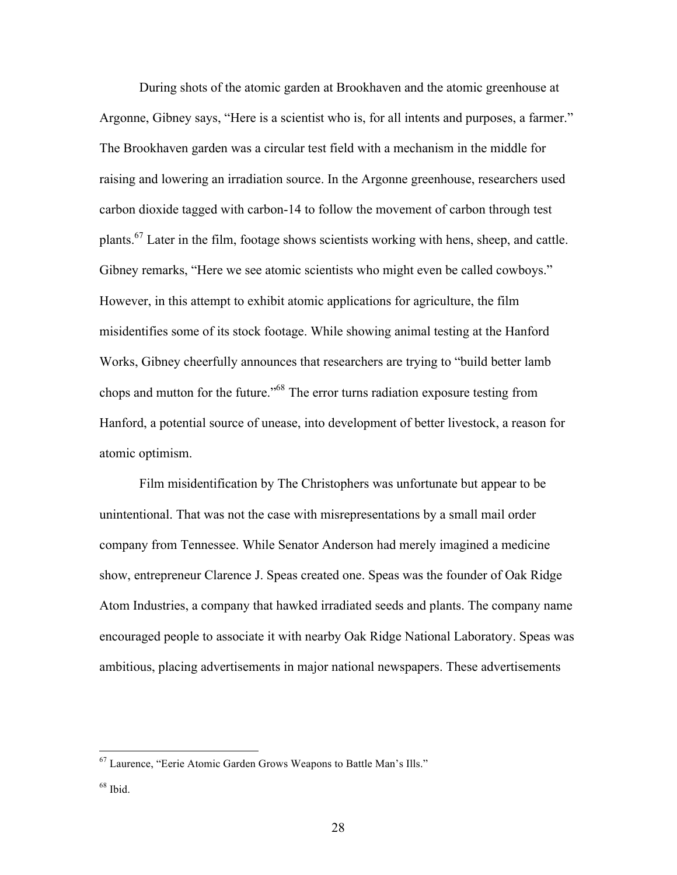During shots of the atomic garden at Brookhaven and the atomic greenhouse at Argonne, Gibney says, "Here is a scientist who is, for all intents and purposes, a farmer." The Brookhaven garden was a circular test field with a mechanism in the middle for raising and lowering an irradiation source. In the Argonne greenhouse, researchers used carbon dioxide tagged with carbon-14 to follow the movement of carbon through test plants.<sup>67</sup> Later in the film, footage shows scientists working with hens, sheep, and cattle. Gibney remarks, "Here we see atomic scientists who might even be called cowboys." However, in this attempt to exhibit atomic applications for agriculture, the film misidentifies some of its stock footage. While showing animal testing at the Hanford Works, Gibney cheerfully announces that researchers are trying to "build better lamb chops and mutton for the future." <sup>68</sup> The error turns radiation exposure testing from Hanford, a potential source of unease, into development of better livestock, a reason for atomic optimism.

Film misidentification by The Christophers was unfortunate but appear to be unintentional. That was not the case with misrepresentations by a small mail order company from Tennessee. While Senator Anderson had merely imagined a medicine show, entrepreneur Clarence J. Speas created one. Speas was the founder of Oak Ridge Atom Industries, a company that hawked irradiated seeds and plants. The company name encouraged people to associate it with nearby Oak Ridge National Laboratory. Speas was ambitious, placing advertisements in major national newspapers. These advertisements

 <sup>67</sup> Laurence, "Eerie Atomic Garden Grows Weapons to Battle Man's Ills."

 $68$  Ibid.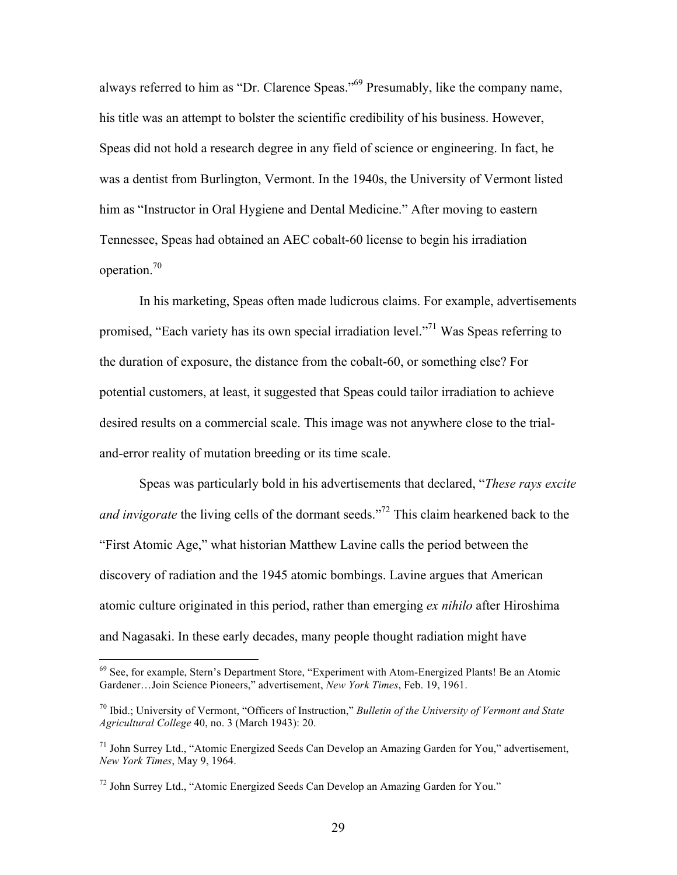always referred to him as "Dr. Clarence Speas."<sup>69</sup> Presumably, like the company name, his title was an attempt to bolster the scientific credibility of his business. However, Speas did not hold a research degree in any field of science or engineering. In fact, he was a dentist from Burlington, Vermont. In the 1940s, the University of Vermont listed him as "Instructor in Oral Hygiene and Dental Medicine." After moving to eastern Tennessee, Speas had obtained an AEC cobalt-60 license to begin his irradiation operation.70

In his marketing, Speas often made ludicrous claims. For example, advertisements promised, "Each variety has its own special irradiation level."<sup>71</sup> Was Speas referring to the duration of exposure, the distance from the cobalt-60, or something else? For potential customers, at least, it suggested that Speas could tailor irradiation to achieve desired results on a commercial scale. This image was not anywhere close to the trialand-error reality of mutation breeding or its time scale.

Speas was particularly bold in his advertisements that declared, "*These rays excite*  and invigorate the living cells of the dormant seeds."<sup>72</sup> This claim hearkened back to the "First Atomic Age," what historian Matthew Lavine calls the period between the discovery of radiation and the 1945 atomic bombings. Lavine argues that American atomic culture originated in this period, rather than emerging *ex nihilo* after Hiroshima and Nagasaki. In these early decades, many people thought radiation might have

<sup>&</sup>lt;sup>69</sup> See, for example, Stern's Department Store, "Experiment with Atom-Energized Plants! Be an Atomic Gardener…Join Science Pioneers," advertisement, *New York Times*, Feb. 19, 1961.

<sup>70</sup> Ibid.; University of Vermont, "Officers of Instruction," *Bulletin of the University of Vermont and State Agricultural College* 40, no. 3 (March 1943): 20.

 $71$  John Surrey Ltd., "Atomic Energized Seeds Can Develop an Amazing Garden for You," advertisement, *New York Times*, May 9, 1964.

 $72$  John Surrey Ltd., "Atomic Energized Seeds Can Develop an Amazing Garden for You."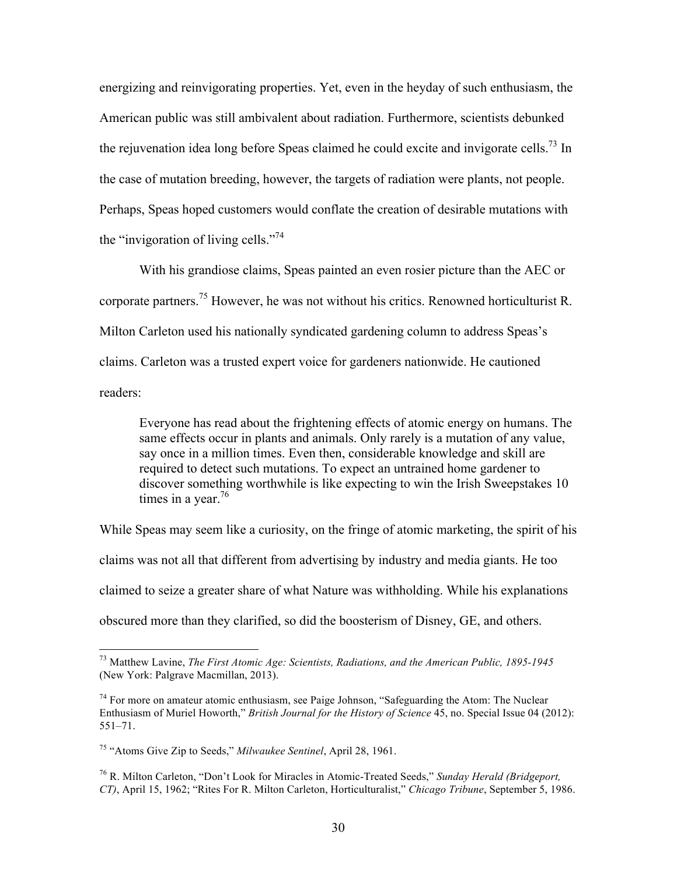energizing and reinvigorating properties. Yet, even in the heyday of such enthusiasm, the American public was still ambivalent about radiation. Furthermore, scientists debunked the rejuvenation idea long before Speas claimed he could excite and invigorate cells.<sup>73</sup> In the case of mutation breeding, however, the targets of radiation were plants, not people. Perhaps, Speas hoped customers would conflate the creation of desirable mutations with the "invigoration of living cells."<sup>74</sup>

With his grandiose claims, Speas painted an even rosier picture than the AEC or corporate partners.<sup>75</sup> However, he was not without his critics. Renowned horticulturist R. Milton Carleton used his nationally syndicated gardening column to address Speas's claims. Carleton was a trusted expert voice for gardeners nationwide. He cautioned readers:

Everyone has read about the frightening effects of atomic energy on humans. The same effects occur in plants and animals. Only rarely is a mutation of any value, say once in a million times. Even then, considerable knowledge and skill are required to detect such mutations. To expect an untrained home gardener to discover something worthwhile is like expecting to win the Irish Sweepstakes 10 times in a year.<sup>76</sup>

While Speas may seem like a curiosity, on the fringe of atomic marketing, the spirit of his claims was not all that different from advertising by industry and media giants. He too claimed to seize a greater share of what Nature was withholding. While his explanations obscured more than they clarified, so did the boosterism of Disney, GE, and others.

 <sup>73</sup> Matthew Lavine, *The First Atomic Age: Scientists, Radiations, and the American Public, 1895-1945* (New York: Palgrave Macmillan, 2013).

 $74$  For more on amateur atomic enthusiasm, see Paige Johnson, "Safeguarding the Atom: The Nuclear Enthusiasm of Muriel Howorth," *British Journal for the History of Science* 45, no. Special Issue 04 (2012): 551–71.

<sup>75</sup> "Atoms Give Zip to Seeds," *Milwaukee Sentinel*, April 28, 1961.

<sup>76</sup> R. Milton Carleton, "Don't Look for Miracles in Atomic-Treated Seeds," *Sunday Herald (Bridgeport, CT)*, April 15, 1962; "Rites For R. Milton Carleton, Horticulturalist," *Chicago Tribune*, September 5, 1986.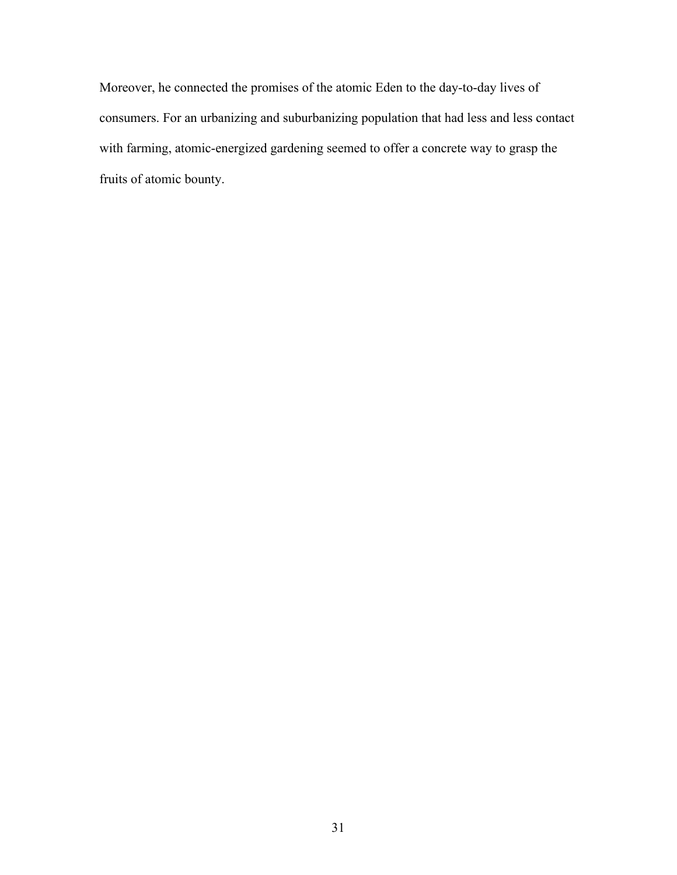Moreover, he connected the promises of the atomic Eden to the day-to-day lives of consumers. For an urbanizing and suburbanizing population that had less and less contact with farming, atomic-energized gardening seemed to offer a concrete way to grasp the fruits of atomic bounty.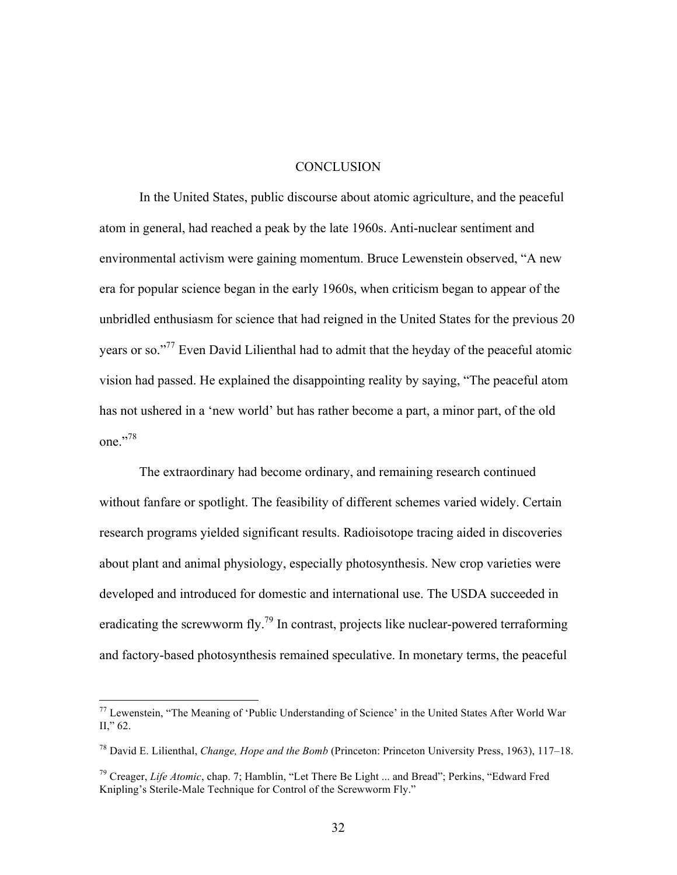#### **CONCLUSION**

In the United States, public discourse about atomic agriculture, and the peaceful atom in general, had reached a peak by the late 1960s. Anti-nuclear sentiment and environmental activism were gaining momentum. Bruce Lewenstein observed, "A new era for popular science began in the early 1960s, when criticism began to appear of the unbridled enthusiasm for science that had reigned in the United States for the previous 20 years or so."<sup>77</sup> Even David Lilienthal had to admit that the heyday of the peaceful atomic vision had passed. He explained the disappointing reality by saying, "The peaceful atom has not ushered in a 'new world' but has rather become a part, a minor part, of the old one." 78

The extraordinary had become ordinary, and remaining research continued without fanfare or spotlight. The feasibility of different schemes varied widely. Certain research programs yielded significant results. Radioisotope tracing aided in discoveries about plant and animal physiology, especially photosynthesis. New crop varieties were developed and introduced for domestic and international use. The USDA succeeded in eradicating the screwworm fly.<sup>79</sup> In contrast, projects like nuclear-powered terraforming and factory-based photosynthesis remained speculative. In monetary terms, the peaceful

 $77$  Lewenstein, "The Meaning of 'Public Understanding of Science' in the United States After World War II," 62.

<sup>78</sup> David E. Lilienthal, *Change, Hope and the Bomb* (Princeton: Princeton University Press, 1963), 117–18.

<sup>79</sup> Creager, *Life Atomic*, chap. 7; Hamblin, "Let There Be Light ... and Bread"; Perkins, "Edward Fred Knipling's Sterile-Male Technique for Control of the Screwworm Fly."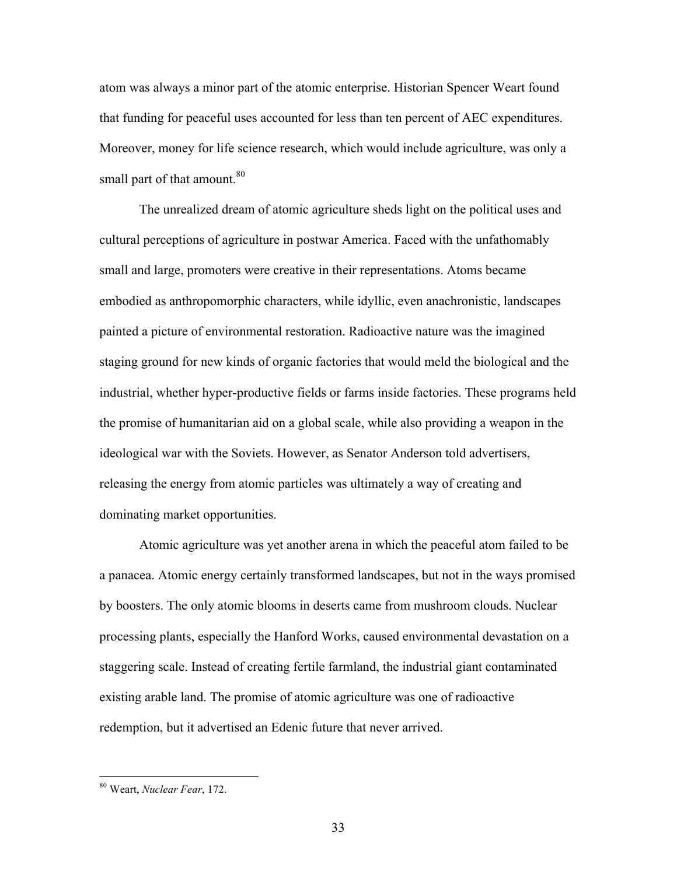atom was always a minor part of the atomic enterprise. Historian Spencer Weart found that funding for peaceful uses accounted for less than ten percent of AEC expenditures. Moreover, money for life science research, which would include agriculture, was only a small part of that amount.<sup>80</sup>

The unrealized dream of atomic agriculture sheds light on the political uses and cultural perceptions of agriculture in postwar America. Faced with the unfathomably small and large, promoters were creative in their representations. Atoms became embodied as anthropomorphic characters, while idyllic, even anachronistic, landscapes painted a picture of environmental restoration. Radioactive nature was the imagined staging ground for new kinds of organic factories that would meld the biological and the industrial, whether hyper-productive fields or farms inside factories. These programs held the promise of humanitarian aid on a global scale, while also providing a weapon in the ideological war with the Soviets. However, as Senator Anderson told advertisers, releasing the energy from atomic particles was ultimately a way of creating and dominating market opportunities.

Atomic agriculture was yet another arena in which the peaceful atom failed to be a panacea. Atomic energy certainly transformed landscapes, but not in the ways promised by boosters. The only atomic blooms in deserts came from mushroom clouds. Nuclear processing plants, especially the Hanford Works, caused environmental devastation on a staggering scale. Instead of creating fertile farmland, the industrial giant contaminated existing arable land. The promise of atomic agriculture was one of radioactive redemption, but it advertised an Edenic future that never arrived.

 <sup>80</sup> Weart, *Nuclear Fear*, 172.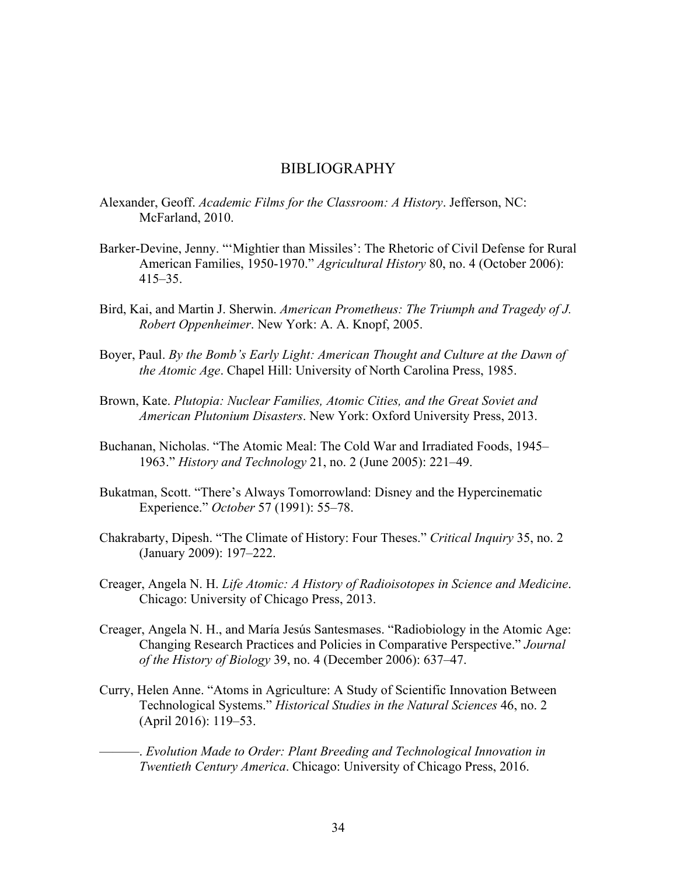### BIBLIOGRAPHY

- Alexander, Geoff. *Academic Films for the Classroom: A History*. Jefferson, NC: McFarland, 2010.
- Barker-Devine, Jenny. "'Mightier than Missiles': The Rhetoric of Civil Defense for Rural American Families, 1950-1970." *Agricultural History* 80, no. 4 (October 2006): 415–35.
- Bird, Kai, and Martin J. Sherwin. *American Prometheus: The Triumph and Tragedy of J. Robert Oppenheimer*. New York: A. A. Knopf, 2005.
- Boyer, Paul. *By the Bomb's Early Light: American Thought and Culture at the Dawn of the Atomic Age*. Chapel Hill: University of North Carolina Press, 1985.
- Brown, Kate. *Plutopia: Nuclear Families, Atomic Cities, and the Great Soviet and American Plutonium Disasters*. New York: Oxford University Press, 2013.
- Buchanan, Nicholas. "The Atomic Meal: The Cold War and Irradiated Foods, 1945– 1963." *History and Technology* 21, no. 2 (June 2005): 221–49.
- Bukatman, Scott. "There's Always Tomorrowland: Disney and the Hypercinematic Experience." *October* 57 (1991): 55–78.
- Chakrabarty, Dipesh. "The Climate of History: Four Theses." *Critical Inquiry* 35, no. 2 (January 2009): 197–222.
- Creager, Angela N. H. *Life Atomic: A History of Radioisotopes in Science and Medicine*. Chicago: University of Chicago Press, 2013.
- Creager, Angela N. H., and María Jesús Santesmases. "Radiobiology in the Atomic Age: Changing Research Practices and Policies in Comparative Perspective." *Journal of the History of Biology* 39, no. 4 (December 2006): 637–47.
- Curry, Helen Anne. "Atoms in Agriculture: A Study of Scientific Innovation Between Technological Systems." *Historical Studies in the Natural Sciences* 46, no. 2 (April 2016): 119–53.
	- ———. *Evolution Made to Order: Plant Breeding and Technological Innovation in Twentieth Century America*. Chicago: University of Chicago Press, 2016.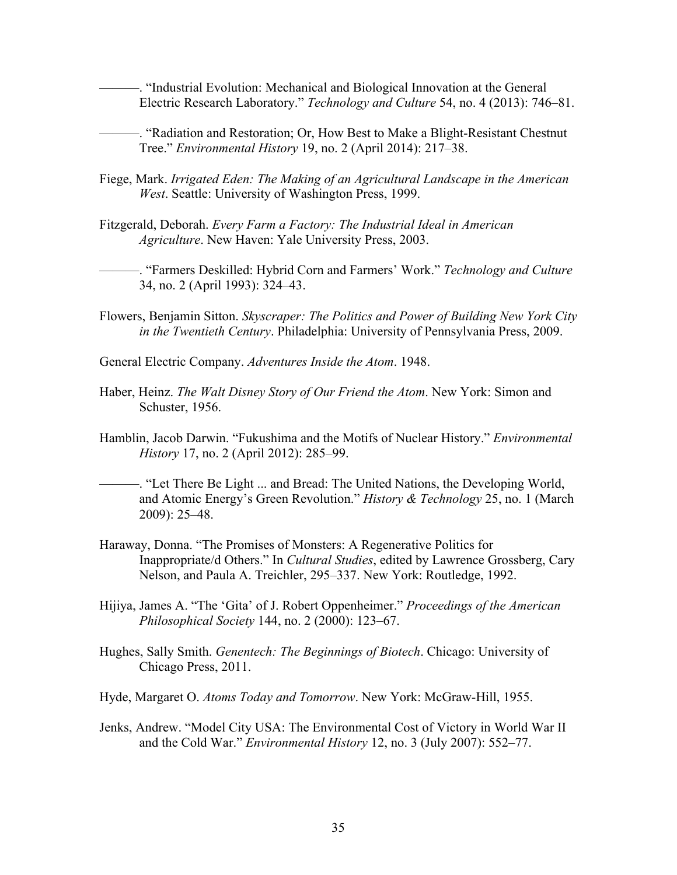———. "Industrial Evolution: Mechanical and Biological Innovation at the General Electric Research Laboratory." *Technology and Culture* 54, no. 4 (2013): 746–81.

———. "Radiation and Restoration; Or, How Best to Make a Blight-Resistant Chestnut Tree." *Environmental History* 19, no. 2 (April 2014): 217–38.

- Fiege, Mark. *Irrigated Eden: The Making of an Agricultural Landscape in the American West*. Seattle: University of Washington Press, 1999.
- Fitzgerald, Deborah. *Every Farm a Factory: The Industrial Ideal in American Agriculture*. New Haven: Yale University Press, 2003.
- ———. "Farmers Deskilled: Hybrid Corn and Farmers' Work." *Technology and Culture* 34, no. 2 (April 1993): 324–43.
- Flowers, Benjamin Sitton. *Skyscraper: The Politics and Power of Building New York City in the Twentieth Century*. Philadelphia: University of Pennsylvania Press, 2009.
- General Electric Company. *Adventures Inside the Atom*. 1948.
- Haber, Heinz. *The Walt Disney Story of Our Friend the Atom*. New York: Simon and Schuster, 1956.
- Hamblin, Jacob Darwin. "Fukushima and the Motifs of Nuclear History." *Environmental History* 17, no. 2 (April 2012): 285–99.
- ———. "Let There Be Light ... and Bread: The United Nations, the Developing World, and Atomic Energy's Green Revolution." *History & Technology* 25, no. 1 (March 2009): 25–48.
- Haraway, Donna. "The Promises of Monsters: A Regenerative Politics for Inappropriate/d Others." In *Cultural Studies*, edited by Lawrence Grossberg, Cary Nelson, and Paula A. Treichler, 295–337. New York: Routledge, 1992.
- Hijiya, James A. "The 'Gita' of J. Robert Oppenheimer." *Proceedings of the American Philosophical Society* 144, no. 2 (2000): 123–67.
- Hughes, Sally Smith. *Genentech: The Beginnings of Biotech*. Chicago: University of Chicago Press, 2011.
- Hyde, Margaret O. *Atoms Today and Tomorrow*. New York: McGraw-Hill, 1955.
- Jenks, Andrew. "Model City USA: The Environmental Cost of Victory in World War II and the Cold War." *Environmental History* 12, no. 3 (July 2007): 552–77.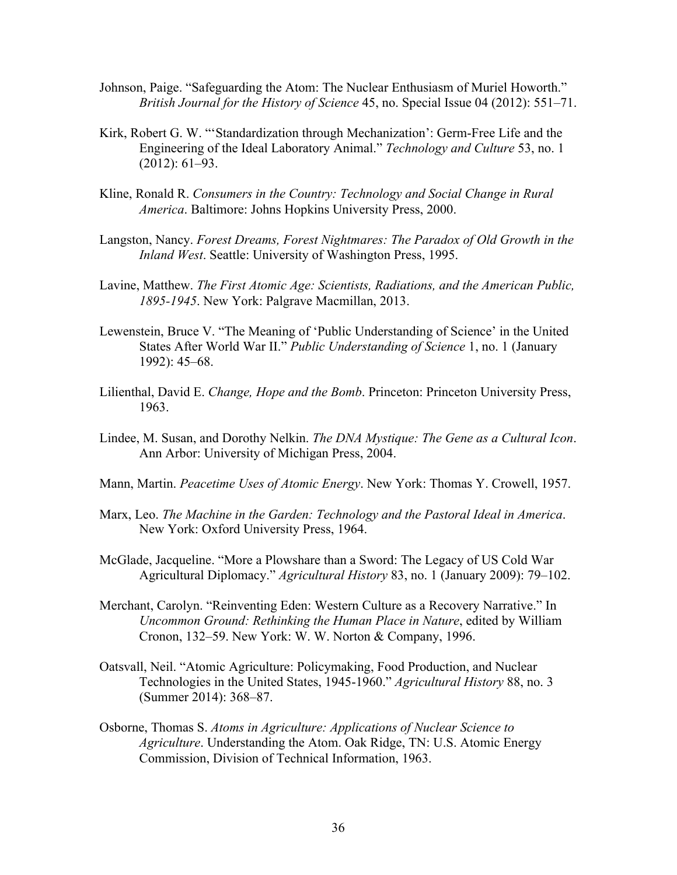- Johnson, Paige. "Safeguarding the Atom: The Nuclear Enthusiasm of Muriel Howorth." *British Journal for the History of Science* 45, no. Special Issue 04 (2012): 551–71.
- Kirk, Robert G. W. "'Standardization through Mechanization': Germ-Free Life and the Engineering of the Ideal Laboratory Animal." *Technology and Culture* 53, no. 1 (2012): 61–93.
- Kline, Ronald R. *Consumers in the Country: Technology and Social Change in Rural America*. Baltimore: Johns Hopkins University Press, 2000.
- Langston, Nancy. *Forest Dreams, Forest Nightmares: The Paradox of Old Growth in the Inland West*. Seattle: University of Washington Press, 1995.
- Lavine, Matthew. *The First Atomic Age: Scientists, Radiations, and the American Public, 1895-1945*. New York: Palgrave Macmillan, 2013.
- Lewenstein, Bruce V. "The Meaning of 'Public Understanding of Science' in the United States After World War II." *Public Understanding of Science* 1, no. 1 (January 1992): 45–68.
- Lilienthal, David E. *Change, Hope and the Bomb*. Princeton: Princeton University Press, 1963.
- Lindee, M. Susan, and Dorothy Nelkin. *The DNA Mystique: The Gene as a Cultural Icon*. Ann Arbor: University of Michigan Press, 2004.
- Mann, Martin. *Peacetime Uses of Atomic Energy*. New York: Thomas Y. Crowell, 1957.
- Marx, Leo. *The Machine in the Garden: Technology and the Pastoral Ideal in America*. New York: Oxford University Press, 1964.
- McGlade, Jacqueline. "More a Plowshare than a Sword: The Legacy of US Cold War Agricultural Diplomacy." *Agricultural History* 83, no. 1 (January 2009): 79–102.
- Merchant, Carolyn. "Reinventing Eden: Western Culture as a Recovery Narrative." In *Uncommon Ground: Rethinking the Human Place in Nature*, edited by William Cronon, 132–59. New York: W. W. Norton & Company, 1996.
- Oatsvall, Neil. "Atomic Agriculture: Policymaking, Food Production, and Nuclear Technologies in the United States, 1945-1960." *Agricultural History* 88, no. 3 (Summer 2014): 368–87.
- Osborne, Thomas S. *Atoms in Agriculture: Applications of Nuclear Science to Agriculture*. Understanding the Atom. Oak Ridge, TN: U.S. Atomic Energy Commission, Division of Technical Information, 1963.